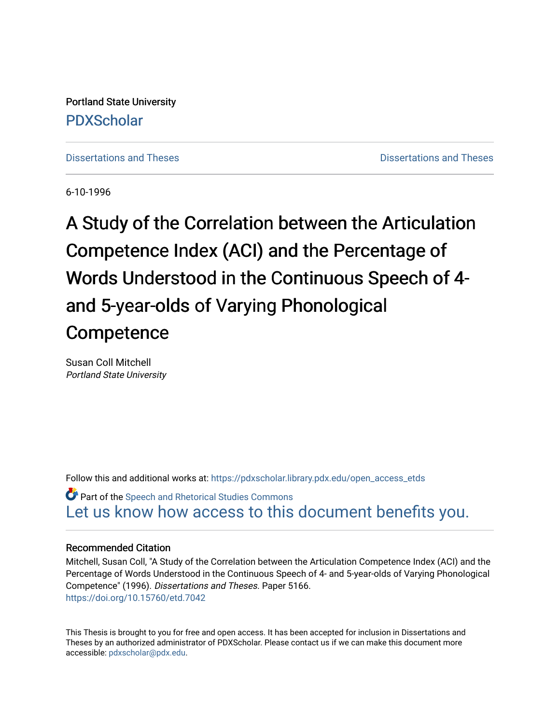Portland State University [PDXScholar](https://pdxscholar.library.pdx.edu/)

[Dissertations and Theses](https://pdxscholar.library.pdx.edu/open_access_etds) **Distributions** and Theses **Distributions** and Theses

6-10-1996

A Study of the Correlation between the Articulation Competence Index (ACI) and the Percentage of Words Understood in the Continuous Speech of 4 and 5-year-olds of Varying Phonological **Competence** 

Susan Coll Mitchell Portland State University

Follow this and additional works at: [https://pdxscholar.library.pdx.edu/open\\_access\\_etds](https://pdxscholar.library.pdx.edu/open_access_etds?utm_source=pdxscholar.library.pdx.edu%2Fopen_access_etds%2F5166&utm_medium=PDF&utm_campaign=PDFCoverPages)

**Part of the Speech and Rhetorical Studies Commons** [Let us know how access to this document benefits you.](http://library.pdx.edu/services/pdxscholar-services/pdxscholar-feedback/) 

# Recommended Citation

Mitchell, Susan Coll, "A Study of the Correlation between the Articulation Competence Index (ACI) and the Percentage of Words Understood in the Continuous Speech of 4- and 5-year-olds of Varying Phonological Competence" (1996). Dissertations and Theses. Paper 5166. <https://doi.org/10.15760/etd.7042>

This Thesis is brought to you for free and open access. It has been accepted for inclusion in Dissertations and Theses by an authorized administrator of PDXScholar. Please contact us if we can make this document more accessible: [pdxscholar@pdx.edu.](mailto:pdxscholar@pdx.edu)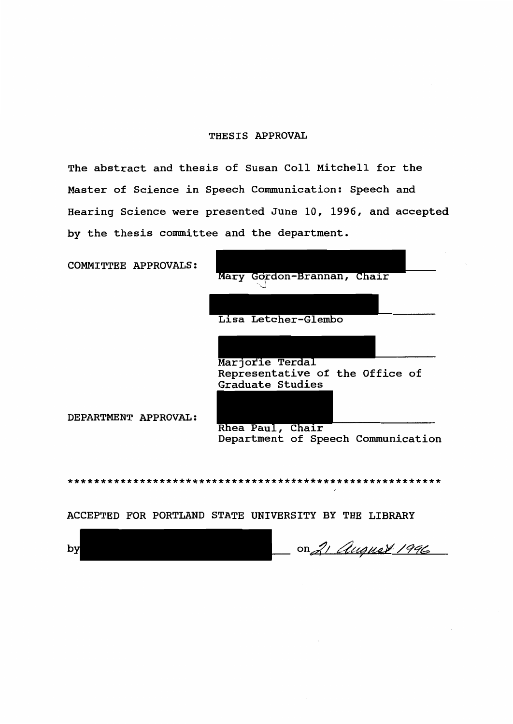#### THESIS APPROVAL

The abstract and thesis of Susan Coll Mitchell for the Master of Science in Speech Communication: Speech and Hearing Science were presented June 10, 1996, and accepted by the thesis committee and the department.

COMMITTEE APPROVALS:



DEPARTMENT APPROVAL:

Rhea Paul, Chair<br>Department of Speech Communication

\*\*\*\*\*\*\*\*\*\*\*\*\*\*\*\*\*\*\*\*\*\*\*\*\*\*\*\*\*\*\*\*\*\*\*\*\*\*\*\*\*\*\*\*\*\*\*\*\*\*\*\*\*\*\*\*\*

ACCEPTED FOR PORTLAND STATE UNIVERSITY BY THE LIBRARY

on 21 *August 1996*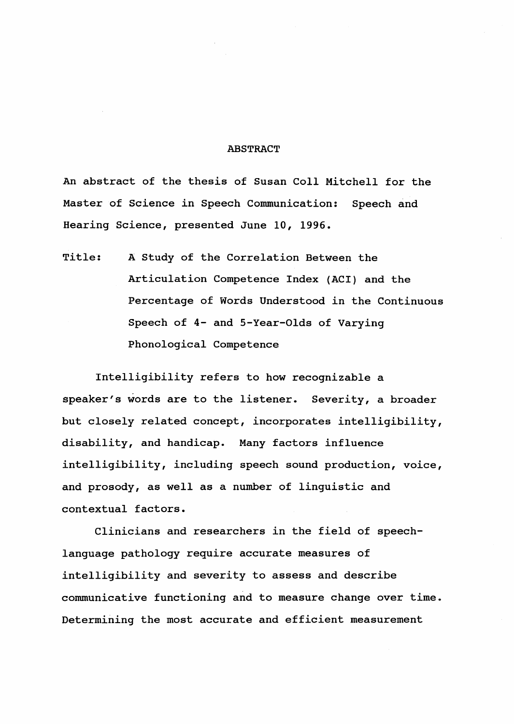#### ABSTRACT

An abstract of the thesis of Susan Coll Mitchell for the Master of Science in Speech Communication: Speech and Hearing Science, presented June 10, 1996.

Title: A Study of the Correlation Between the Articulation Competence Index (ACI) and the Percentage of Words Understood in the Continuous Speech of 4- and 5-Year-Olds of Varying Phonological Competence

Intelligibility refers to how recognizable a speaker's words are to the listener. Severity, a broader but closely related concept, incorporates intelligibility, disability, and handicap. Many factors influence intelligibility, including speech sound production, voice, and prosody, as well as a number of linguistic and contextual factors.

Clinicians and researchers in the field of speechlanguage pathology require accurate measures of intelligibility and severity to assess and describe communicative functioning and to measure change over time. Determining the most accurate and efficient measurement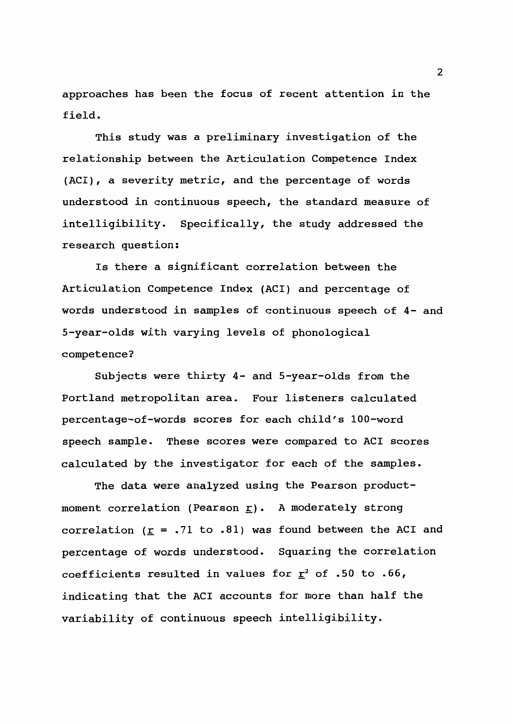approaches has been the focus of recent attention in the field.

This study was a preliminary investigation of the relationship between the Articulation Competence Index (ACI), a severity metric, and the percentage of words understood in continuous speech, the standard measure of intelligibility. Specifically, the study addressed the research question:

Is there a significant correlation between the Articulation Competence Index (ACI) and percentage of words understood in samples of continuous speech of 4- and 5-year-olds with varying levels of phonological competence?

Subjects were thirty 4- and 5-year-olds from the Portland metropolitan area. Four listeners calculated percentage-of-words scores for each child's 100-word speech sample. These scores were compared to ACI scores calculated by the investigator for each of the samples.

The data were analyzed using the Pearson productmoment correlation (Pearson  $\underline{r}$ ). A moderately strong correlation ( $\underline{r}$  = .71 to .81) was found between the ACI and percentage of words understood. Squaring the correlation coefficients resulted in values for  $\underline{r}^2$  of .50 to .66, indicating that the ACI accounts for more than half the variability of continuous speech intelligibility.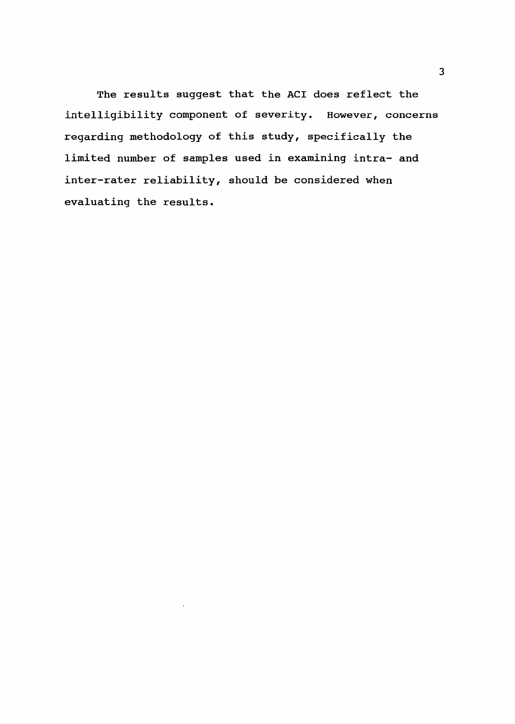The results suggest that the ACI does reflect the intelligibility component of severity. However, concerns regarding methodology of this study, specifically the limited number of samples used in examining intra- and inter-rater reliability, should be considered when evaluating the results.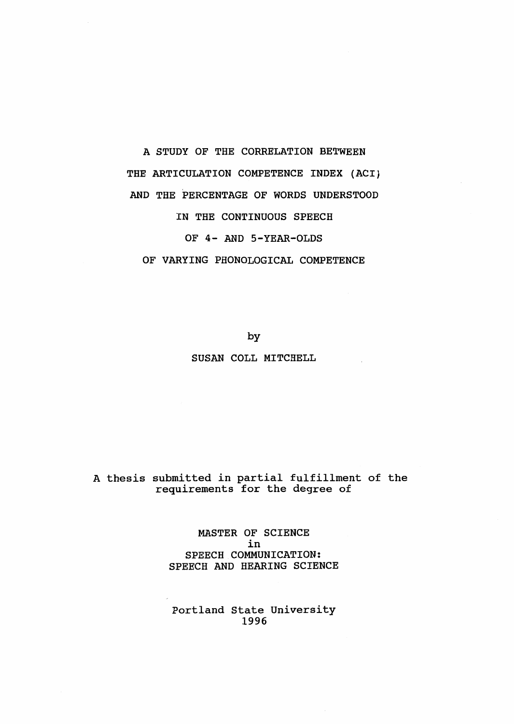# THE ARTICULATION COMPETENCE INDEX (ACI) AND THE PERCENTAGE OF WORDS UNDERSTOOD IN THE CONTINUOUS SPEECH OF 4- AND 5-YEAR-OLDS OF VARYING PHONOLOGICAL COMPETENCE

A STUDY OF THE CORRELATION BETWEEN

by SUSAN COLL MITCHELL

# A thesis submitted in partial fulfillment of the requirements for the degree of

MASTER OF SCIENCE in SPEECH COMMUNICATION: SPEECH AND HEARING SCIENCE

Portland State University 1996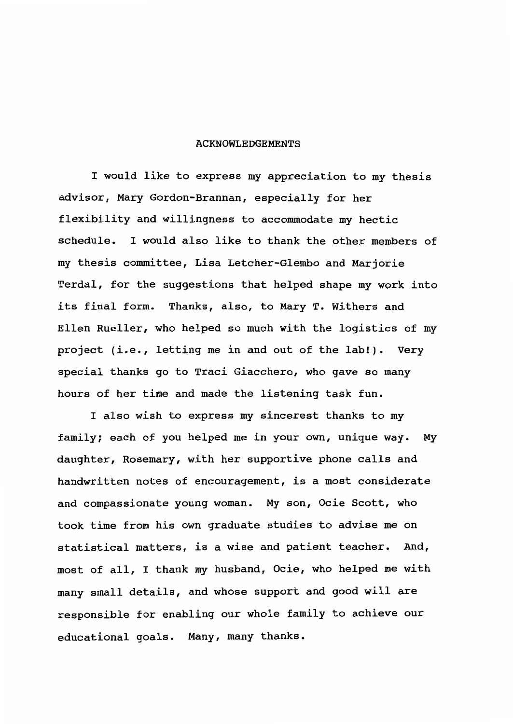#### ACKNOWLEDGEMENTS

I would like to express my appreciation to my thesis advisor, Mary Gordon-Brannan, especially for her flexibility and willingness to accommodate my hectic schedule. I would also like to thank the other members of my thesis committee, Lisa Letcher-Glembo and Marjorie Terdal, for the suggestions that helped shape my work into its final form. Thanks, also, to Mary T. Withers and Ellen Rueller, who helped so much with the logistics of my project (i.e., letting me in and out of the lab!). Very special thanks go to Traci Giacchero, who gave so many hours of her time and made the listening task fun.

I also wish to express my sincerest thanks to my family; each of you helped me in your own, unique way. My daughter, Rosemary, with her supportive phone calls and handwritten notes of encouragement, is a most considerate and compassionate young woman. My son, Ocie Scott, who took time from his own graduate studies to advise me on statistical matters, *is* a wise and patient teacher. And, most of all, I thank my husband, Ocie, who helped me with many small details, and whose support and good will are responsible for enabling our whole family to achieve our educational goals. Many, many thanks.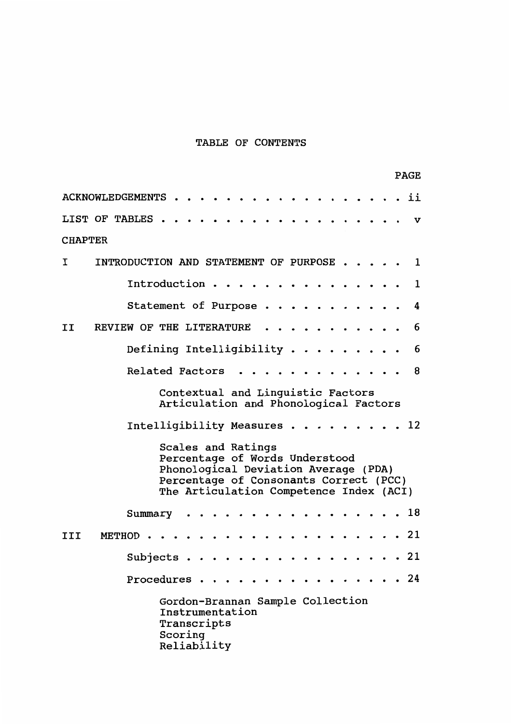# TABLE OF CONTENTS

|                               |  |                                       |                                            |  |  |         |  |  |                                               |  |  |                                                                                                                                                             |  |  |  |  | <b>PAGE</b> |
|-------------------------------|--|---------------------------------------|--------------------------------------------|--|--|---------|--|--|-----------------------------------------------|--|--|-------------------------------------------------------------------------------------------------------------------------------------------------------------|--|--|--|--|-------------|
| ii<br><b>ACKNOWLEDGEMENTS</b> |  |                                       |                                            |  |  |         |  |  |                                               |  |  |                                                                                                                                                             |  |  |  |  |             |
| LIST OF TABLES.               |  |                                       |                                            |  |  |         |  |  |                                               |  |  |                                                                                                                                                             |  |  |  |  | v           |
| <b>CHAPTER</b>                |  |                                       |                                            |  |  |         |  |  |                                               |  |  |                                                                                                                                                             |  |  |  |  |             |
| I                             |  | INTRODUCTION AND STATEMENT OF PURPOSE |                                            |  |  |         |  |  |                                               |  |  |                                                                                                                                                             |  |  |  |  | 1           |
|                               |  |                                       | Introduction.                              |  |  |         |  |  |                                               |  |  |                                                                                                                                                             |  |  |  |  | 1           |
|                               |  |                                       | Statement of Purpose                       |  |  |         |  |  |                                               |  |  |                                                                                                                                                             |  |  |  |  | 4           |
| II                            |  | <b>REVIEW OF THE LITERATURE</b>       |                                            |  |  |         |  |  |                                               |  |  |                                                                                                                                                             |  |  |  |  | 6           |
|                               |  |                                       | Defining Intelligibility $\cdots$ $\cdots$ |  |  |         |  |  |                                               |  |  |                                                                                                                                                             |  |  |  |  | 6           |
|                               |  |                                       | <b>Related Factors</b>                     |  |  |         |  |  |                                               |  |  |                                                                                                                                                             |  |  |  |  | 8           |
|                               |  |                                       |                                            |  |  |         |  |  |                                               |  |  | Contextual and Linguistic Factors<br>Articulation and Phonological Factors                                                                                  |  |  |  |  |             |
|                               |  |                                       | Intelligibility Measures.                  |  |  |         |  |  |                                               |  |  |                                                                                                                                                             |  |  |  |  | 12          |
|                               |  |                                       |                                            |  |  |         |  |  | Scales and Ratings                            |  |  | Percentage of Words Understood<br>Phonological Deviation Average (PDA)<br>Percentage of Consonants Correct (PCC)<br>The Articulation Competence Index (ACI) |  |  |  |  |             |
|                               |  |                                       | Summary                                    |  |  |         |  |  |                                               |  |  |                                                                                                                                                             |  |  |  |  | 18          |
| III                           |  | METHOD.                               |                                            |  |  |         |  |  |                                               |  |  |                                                                                                                                                             |  |  |  |  | . 21        |
|                               |  |                                       | Subjects.                                  |  |  |         |  |  |                                               |  |  |                                                                                                                                                             |  |  |  |  | . 21        |
|                               |  |                                       | Procedures                                 |  |  |         |  |  |                                               |  |  |                                                                                                                                                             |  |  |  |  | 24          |
|                               |  |                                       |                                            |  |  | Scoring |  |  | Instrumentation<br>Transcripts<br>Reliability |  |  | Gordon-Brannan Sample Collection                                                                                                                            |  |  |  |  |             |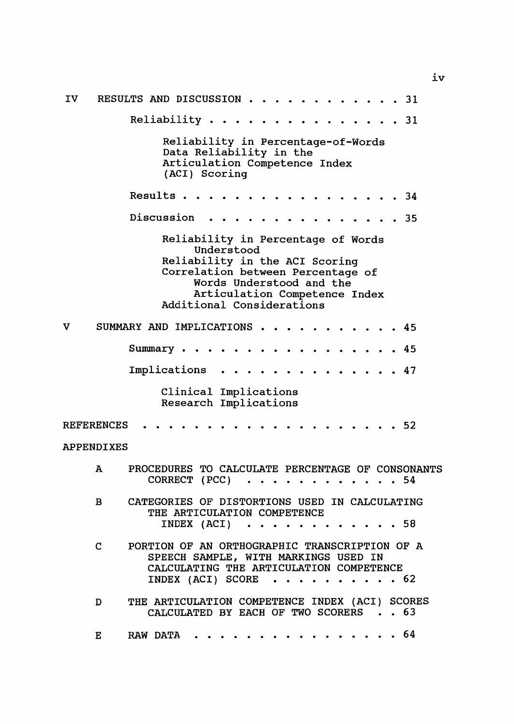| IV. |                               | RESULTS AND DISCUSSION.<br>. 31                                                                                                                                                                                   |  |
|-----|-------------------------------|-------------------------------------------------------------------------------------------------------------------------------------------------------------------------------------------------------------------|--|
|     |                               | Reliability<br>. 31                                                                                                                                                                                               |  |
|     |                               | Reliability in Percentage-of-Words<br>Data Reliability in the<br>Articulation Competence Index<br>(ACI) Scoring                                                                                                   |  |
|     |                               | Results<br>. 34<br>.                                                                                                                                                                                              |  |
|     |                               | Discussion<br>. 35                                                                                                                                                                                                |  |
|     |                               | Reliability in Percentage of Words<br>Understood<br>Reliability in the ACI Scoring<br>Correlation between Percentage of<br>Words Understood and the<br>Articulation Competence Index<br>Additional Considerations |  |
| v   |                               | SUMMARY AND IMPLICATIONS<br>. 45<br>$\sim$ $\sim$                                                                                                                                                                 |  |
|     |                               | .45<br>Summary<br>.<br>$\sim$ $\sim$                                                                                                                                                                              |  |
|     |                               | Implications<br>47                                                                                                                                                                                                |  |
|     |                               | Clinical Implications<br>Research Implications                                                                                                                                                                    |  |
|     | <b>REFERENCES</b>             | -52                                                                                                                                                                                                               |  |
|     | <b>APPENDIXES</b>             |                                                                                                                                                                                                                   |  |
|     | $\mathbf{A}$                  | PROCEDURES TO CALCULATE PERCENTAGE OF CONSONANTS<br>CORRECT (PCC)<br>. 54                                                                                                                                         |  |
|     | в.                            | CATEGORIES OF DISTORTIONS USED IN CALCULATING<br>THE ARTICULATION COMPETENCE<br>INDEX $(ACT) \cdot \cdot \cdot \cdot \cdot \cdot \cdot \cdot \cdot \cdot 58$                                                      |  |
|     | $\mathbf{c}$ and $\mathbf{c}$ | PORTION OF AN ORTHOGRAPHIC TRANSCRIPTION OF A<br>SPEECH SAMPLE, WITH MARKINGS USED IN<br>CALCULATING THE ARTICULATION COMPETENCE<br>INDEX (ACI) SCORE $\cdots$ $\cdots$ $\cdots$ $\cdots$ 62                      |  |
|     | D                             | THE ARTICULATION COMPETENCE INDEX (ACI) SCORES<br>CALCULATED BY EACH OF TWO SCORERS 63                                                                                                                            |  |
|     | Е                             | RAW DATA 64                                                                                                                                                                                                       |  |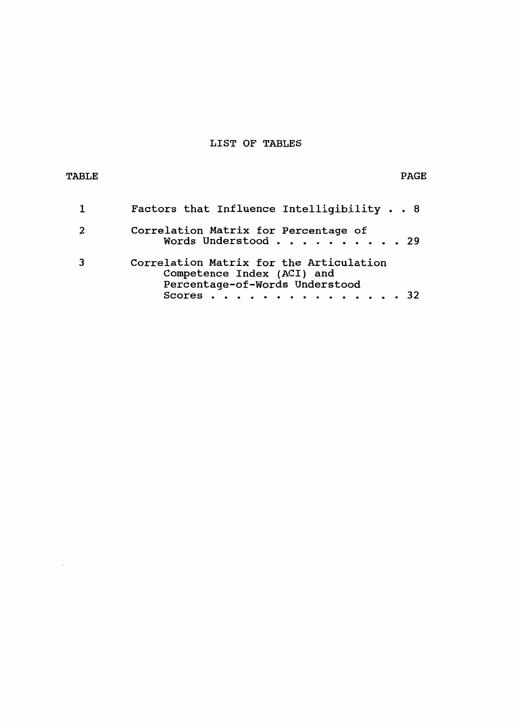# LIST OF TABLES

# TABLE PAGE PAGE AND THE PAGE OF THE PAGE AND THE PAGE OF THE PAGE OF THE PAGE OF THE PAGE OF THE PAGE OF THE PAGE

 $\cdot$ 

| Factors that Influence Intelligibility 8                                                                             |
|----------------------------------------------------------------------------------------------------------------------|
| Correlation Matrix for Percentage of<br>Words Understood 29                                                          |
| Correlation Matrix for the Articulation<br>Competence Index (ACI) and<br>Percentage-of-Words Understood<br>Scores 32 |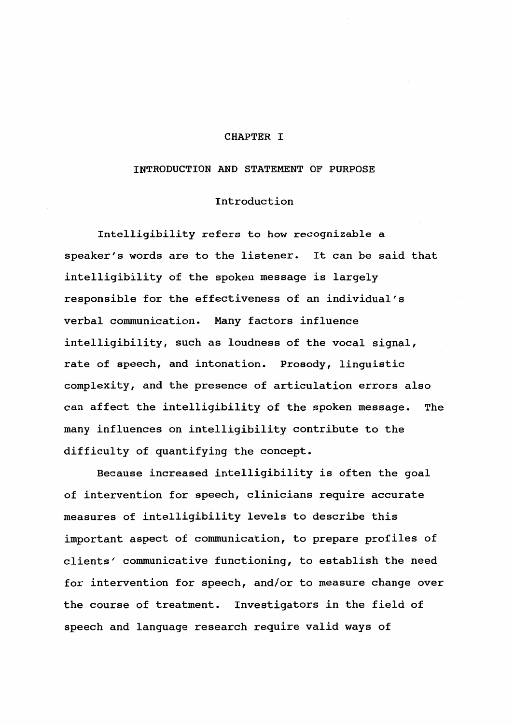#### CHAPTER I

#### INTRODUCTION AND STATEMENT OF PURPOSE

# Introduction

Intelligibility refers to how recognizable a speaker's words are to the listener. It can be said that intelligibility of the spoken message is largely responsible for the effectiveness of an individual's verbal conununication. Many factors influence intelligibility, such as loudness of the vocal signal, rate of speech, and intonation. Prosody, linguistic complexity, and the presence of articulation errors also can affect the intelligibility of the spoken message. The many influences on intelligibility contribute to the difficulty of quantifying the concept.

Because increased intelligibility is often the goal of intervention for speech, clinicians require accurate measures of intelligibility levels to describe this important aspect of communication, to prepare profiles of clients' communicative functioning, to establish the need for intervention for speech, and/or to measure change over the course of treatment. Investigators in the field of speech and language research require valid ways of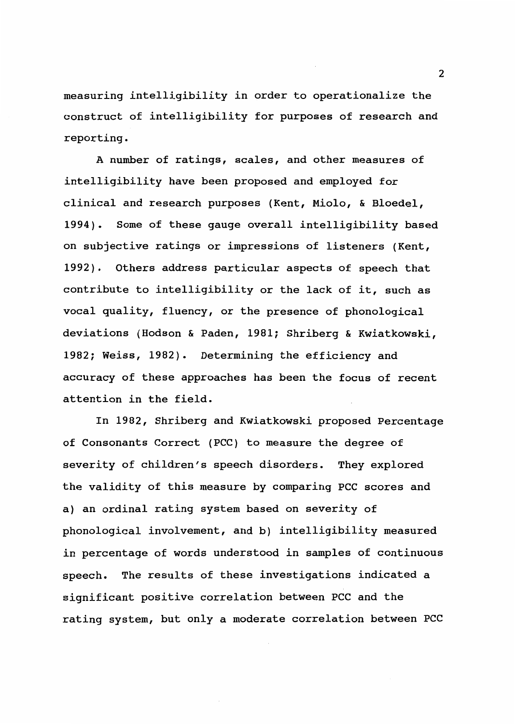measuring intelligibility in order to operationalize the construct of intelligibility for purposes of research and reporting.

A number of ratings, scales, and other measures of intelligibility have been proposed and employed for clinical and research purposes (Kent, Miolo, & Bloedel, 1994). Some of these gauge overall intelligibility based on subjective ratings or impressions of listeners (Kent, 1992). Others address particular aspects of speech that contribute to intelligibility or the lack of it, such as vocal quality, fluency, or the presence of phonological deviations (Hodson & Paden, 1981; Shriberg & Kwiatkowski, 1982; Weiss, 1982). Determining the efficiency and accuracy of these approaches has been the focus of recent attention in the field.

In 1982, Shriberg and Kwiatkowski proposed Percentage of Consonants Correct (PCC) to measure the degree of severity of children's speech disorders. They explored the validity of this measure by comparing PCC scores and a) an ordinal rating system based on severity of phonological involvement, and b) intelligibility measured in percentage of words understood in samples of continuous speech. The results of these investigations indicated a significant positive correlation between PCC and the rating system, but only a moderate correlation between PCC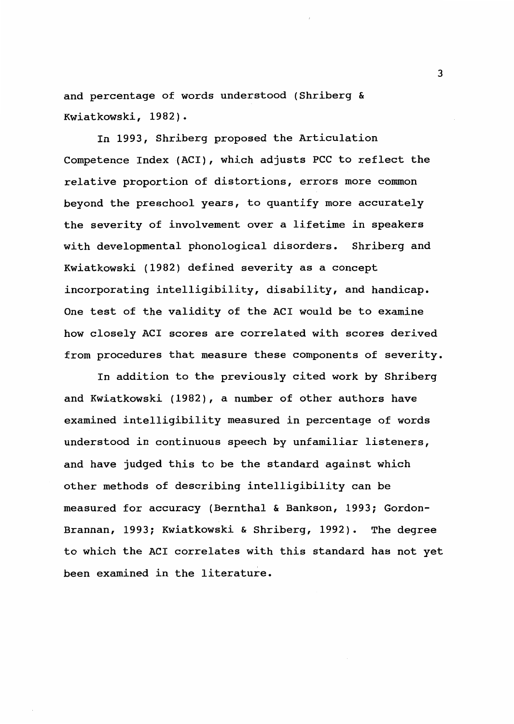and percentage of words understood (Shriberg & Kwiatkowski, 1982).

In 1993, Shriberg proposed the Articulation Competence Index (ACI), which adjusts PCC to reflect the relative proportion of distortions, errors more common beyond the preschool years, to quantify more accurately the severity of involvement over a lifetime in speakers with developmental phonological disorders. Shriberg and Kwiatkowski (1982) defined severity as a concept incorporating intelligibility, disability, and handicap. One test of the validity of the ACI would be to examine how closely ACI scores are correlated with scores derived from procedures that measure these components of severity.

In addition to the previously cited work by Shriberg and Kwiatkowski (1982), a number of other authors have examined intelligibility measured in percentage of words understood in continuous speech by unfamiliar listeners, and have judged this to be the standard against which other methods of describing intelligibility can be measured for accuracy (Bernthal & Bankson, 1993; Gordon-Brannan, 1993; Kwiatkowski & Shriberg, 1992). The degree to which the ACI correlates with this standard has not yet been examined in the literature.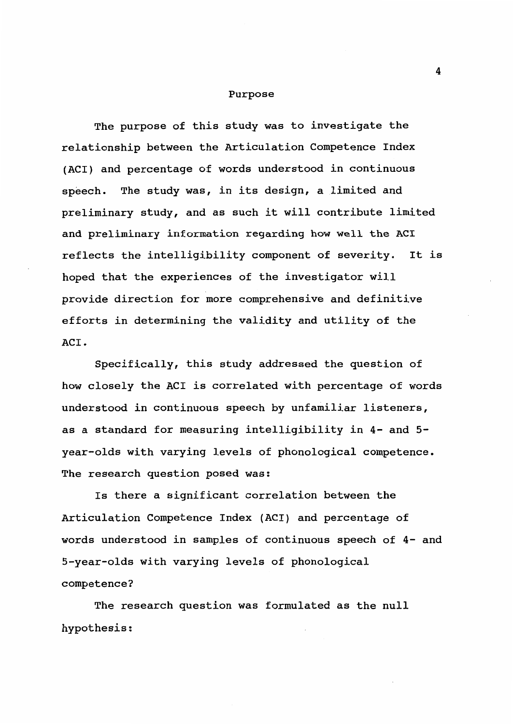#### Purpose

The purpose of this study was to investigate the relationship between the Articulation Competence Index (ACI) and percentage of words understood in continuous speech. The study was, in its design, a limited and preliminary study, and as such it will contribute limited and preliminary information regarding how well the ACI reflects the intelligibility component of severity. It is hoped that the experiences of the investigator will provide direction for more comprehensive and definitive efforts in determining the validity and utility of the ACI.

Specifically, this study addressed the question of how closely the ACI is correlated with percentage of words understood in continuous speech by unfamiliar listeners, as a standard for measuring intelligibility in 4- and 5 year-olds with varying levels of phonological competence. The research question posed was:

Is there a significant correlation between the Articulation Competence Index (AC!) and percentage of words understood in samples of continuous speech of 4- and 5-year-olds with varying levels of phonological competence?

The research question was formulated as the null hypothesis: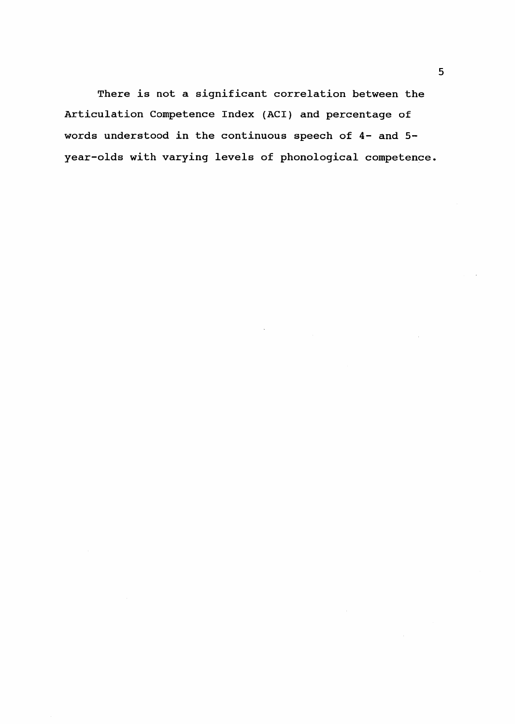There is not a significant correlation between the Articulation Competence Index (ACI) and percentage of words understood in the continuous speech of 4- and 5 year-olds with varying levels of phonological competence.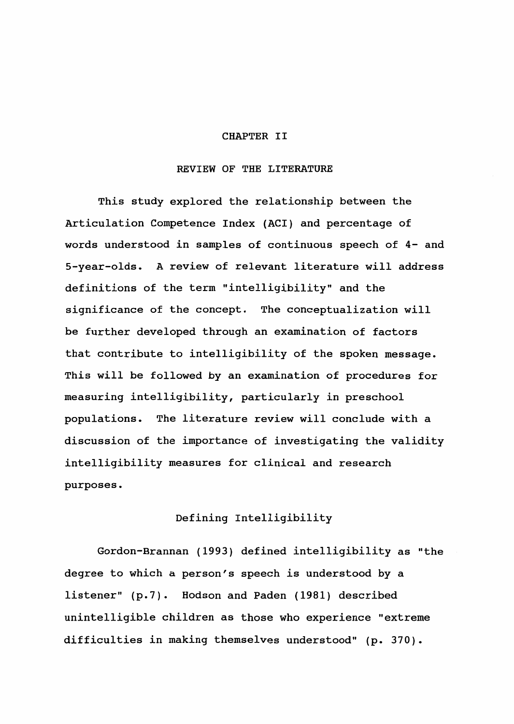#### CHAPTER II

# REVIEW OF THE LITERATURE

This study explored the relationship between the Articulation Competence Index (ACI) and percentage of words understood in samples of continuous speech of 4- and 5-year-olds. A review of relevant literature will address definitions of the term "intelligibility" and the significance of the concept. The conceptualization will be further developed through an examination of factors that contribute to intelligibility of the spoken message. This will be followed by an examination of procedures for measuring intelligibility, particularly in preschool populations. The literature review will conclude with a discussion of the importance of investigating the validity intelligibility measures for clinical and research purposes.

# Defining Intelligibility

Gordon-Brannan (1993) defined intelligibility as "the degree to which a person's speech is understood by a listener" (p.7). Hodson and Paden (1981) described unintelligible children as those who experience "extreme difficulties in making themselves understood" (p. 370).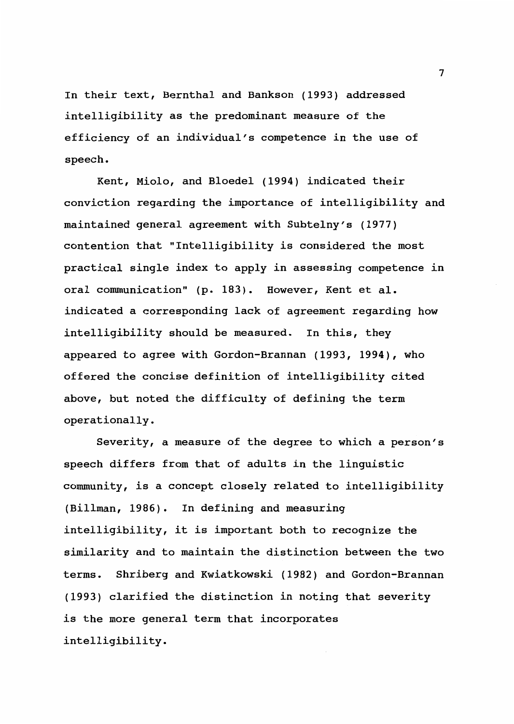In their text, Bernthal and Bankson (1993) addressed intelligibility as the predominant measure of the efficiency of an individual's competence in the use of speech.

Kent, Miolo, and Bloedel (1994) indicated their conviction regarding the importance of intelligibility and maintained general agreement with Subtelny's (1977) contention that "Intelligibility is considered the most practical single index to apply in assessing competence in oral communication" (p. 183). However, Kent et al. indicated a corresponding lack of agreement regarding how intelligibility should be measured. In this, they appeared to agree with Gordon-Brannan (1993, 1994), who offered the concise definition of intelligibility cited above, but noted the difficulty of defining the term operationally.

Severity, a measure of the degree to which a person's speech differs from that of adults in the linguistic conununity, is a concept closely related to intelligibility (Billman, 1986). In defining and measuring intelligibility, it is important both to recognize the similarity and to maintain the distinction between the two terms. Shriberg and Kwiatkowski (1982) and Gordon-Brannan (1993) clarified the distinction in noting that severity is the more general term that incorporates intelligibility.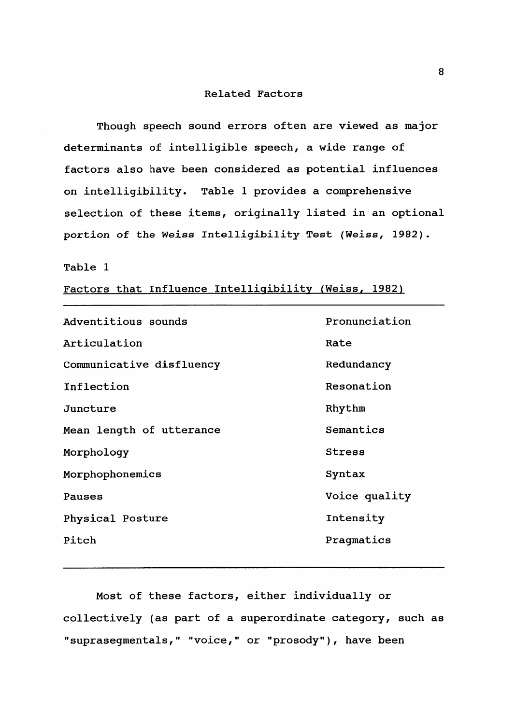#### Related Factors

Though speech sound errors often are viewed as major determinants of intelligible speech, a wide range of factors also have been considered as potential influences on intelligibility. Table 1 provides a comprehensive selection of these items, originally listed in an optional portion of the Weiss Intelligibility Test (Weiss, 1982).

#### Table 1

Factors that Influence Intelligibility (Weiss, 1982)

Adventitious sounds Articulation Communicative disfluency Inflection Juncture Mean length of utterance Morphology Morphophonemics Pauses Physical Posture Pitch Pronunciation Rate Redundancy Resonation Rhythm Semantics Stress Syntax Voice quality Intensity Pragmatics

Most of these factors, either individually or collectively (as part of a superordinate category, such as "suprasegmentals," "voice," or "prosody"), have been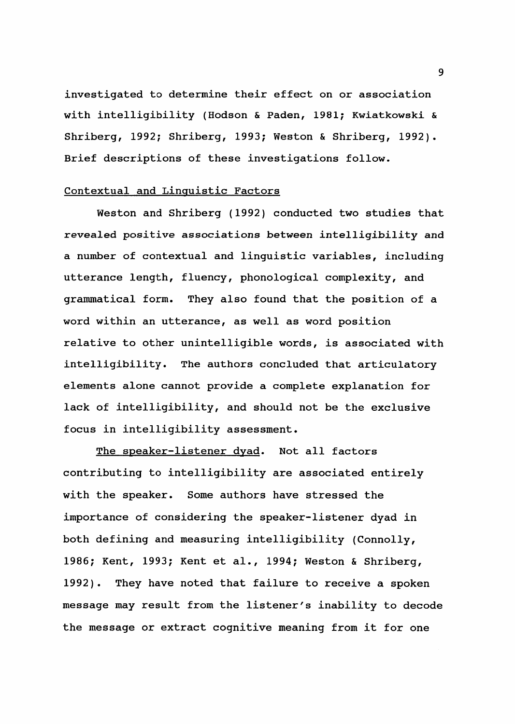investigated to determine their effect on or association with intelligibility (Hodson & Paden, 1981; Kwiatkowski & Shriberg, 1992; Shriberg, 1993; Weston & Shriberg, 1992). Brief descriptions of these investigations follow.

# Contextual and Linguistic Factors

Weston and Shriberg (1992) conducted two studies that revealed positive associations between intelligibility and a number of contextual and linguistic variables, including utterance length, fluency, phonological complexity, and grammatical form. They also found that the position of a word within an utterance, as well as word position relative to other unintelligible words, is associated with intelligibility. The authors concluded that articulatory elements alone cannot provide a complete explanation for lack of intelligibility, and should not be the exclusive focus in intelligibility assessment.

The speaker-listener dyad. Not all factors contributing to intelligibility are associated entirely with the speaker. Some authors have stressed the importance of considering the speaker-listener dyad in both defining and measuring intelligibility (Connolly, 1986; Kent, 1993; Kent et al., 1994; Weston & Shriberg, 1992). They have noted that failure to receive a spoken message may result from the listener's inability to decode the message or extract cognitive meaning from it for one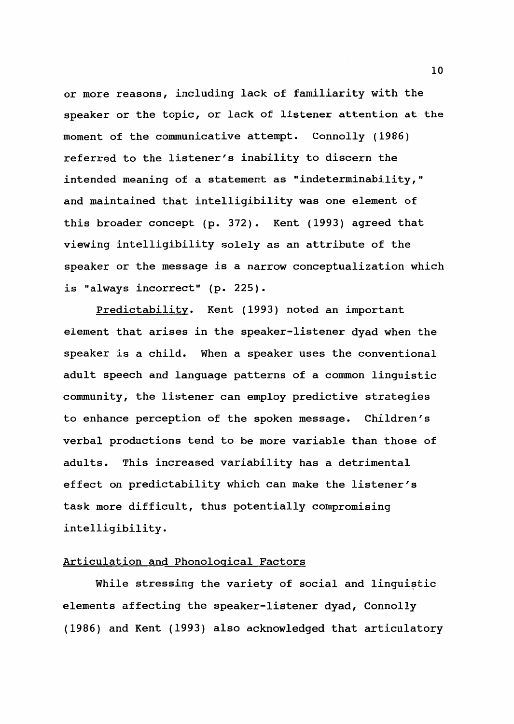or more reasons, including lack of familiarity with the speaker or the topic, or lack of listener attention at the moment of the communicative attempt. Connolly (1986) referred to the listener's inability to discern the intended meaning of a statement as "indeterminability," and maintained that intelligibility was one element of this broader concept (p. 372). Kent (1993) agreed that viewing intelligibility solely as an attribute of the speaker or the message is a narrow conceptualization which is "always incorrect" (p. 225).

Predictability. Kent (1993) noted an important element that arises in the speaker-listener dyad when the speaker is a child. When a speaker uses the conventional adult speech and language patterns of a common linguistic community, the listener can employ predictive strategies to enhance perception of the spoken message. Children's verbal productions tend to be more variable than those of adults. This increased variability has a detrimental effect on predictability which can make the listener's task more difficult, thus potentially compromising intelligibility.

# Articulation and Phonological Factors

While stressing the variety of social and linguistic elements affecting the speaker-listener dyad, Connolly (1986) and Kent (1993) also acknowledged that articulatory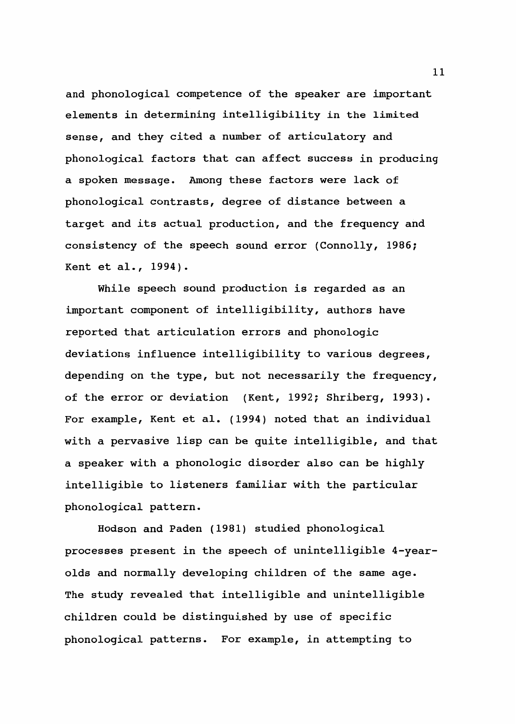and phonological competence of the speaker are important elements in determining intelligibility in the limited sense, and they cited a number of articulatory and phonological factors that can affect success in producing a spoken message. Among these factors were lack of phonological contrasts, degree of distance between a target and its actual production, and the frequency and consistency of the speech sound error (Connolly, 1986; Kent et al., 1994).

While speech sound production is regarded as an important component of intelligibility, authors have reported that articulation errors and phonologic deviations influence intelligibility to various degrees, depending on the type, but not necessarily the frequency, of the error or deviation (Kent, 1992; Shriberg, 1993). For example, Kent et al. (1994) noted that an individual with a pervasive lisp can be quite intelligible, and that a speaker with a phonologic disorder also can be highly intelligible to listeners familiar with the particular phonological pattern.

Hodson and Paden (1981) studied phonological processes present in the speech of unintelligible 4-yearolds and normally developing children of the same age. The study revealed that intelligible and unintelligible children could be distinguished by use of specific phonological patterns. For example, in attempting to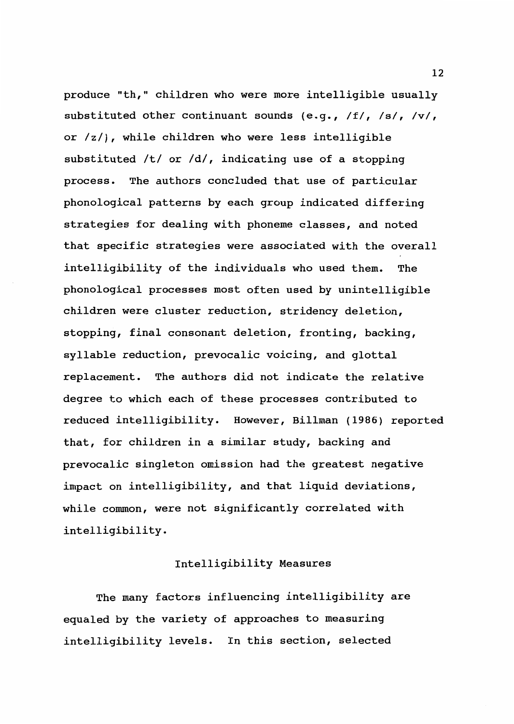produce "th," children who were more intelligible usually substituted other continuant sounds (e.g., /f/, /s/, */vi,*  or /z/), while children who were less intelligible substituted /t/ or /d/, indicating use of a stopping process. The authors concluded that use of particular phonological patterns by each group indicated differing strategies for dealing with phoneme classes, and noted that specific strategies were associated with the overall intelligibility of the individuals who used them. The phonological processes most often used by unintelligible children were cluster reduction, stridency deletion, stopping, final consonant deletion, fronting, backing, syllable reduction, prevocalic voicing, and glottal replacement. The authors did not indicate the relative degree to which each of these processes contributed to reduced intelligibility. However, Billman (1986) reported that, for children in a similar study, backing and prevocalic singleton omission had the greatest negative impact on intelligibility, and that liquid deviations, while common, were not significantly correlated with intelligibility.

#### Intelligibility Measures

The many factors influencing intelligibility are equaled by the variety of approaches to measuring intelligibility levels. In this section, selected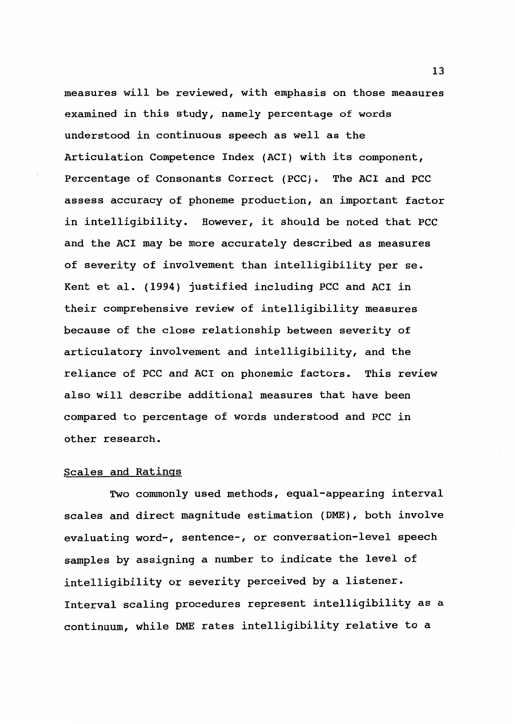measures will be reviewed, with emphasis on those measures examined in this study, namely percentage of words understood in continuous speech as well as the Articulation Competence Index (AC!) with its component, Percentage of Consonants Correct (PCC). The ACI and PCC assess accuracy of phoneme production, an important factor in intelligibility. However, it should be noted that PCC and the AC! may be more accurately described as measures of severity of involvement than intelligibility per se. Kent et al. (1994) justified including PCC and ACI in their comprehensive review of intelligibility measures because of the close relationship between severity of articulatory involvement and intelligibility, and the reliance of PCC and ACI on phonemic factors. This review also will describe additional measures that have been compared to percentage of words understood and PCC in other research.

#### Scales and Ratings

Two commonly used methods, equal-appearing interval scales and direct magnitude estimation (DME), both involve evaluating word-, sentence-, or conversation-level speech samples by assigning a number to indicate the level of intelligibility or severity perceived by a listener. Interval scaling procedures represent intelligibility as a continuum, while DME rates intelligibility relative to a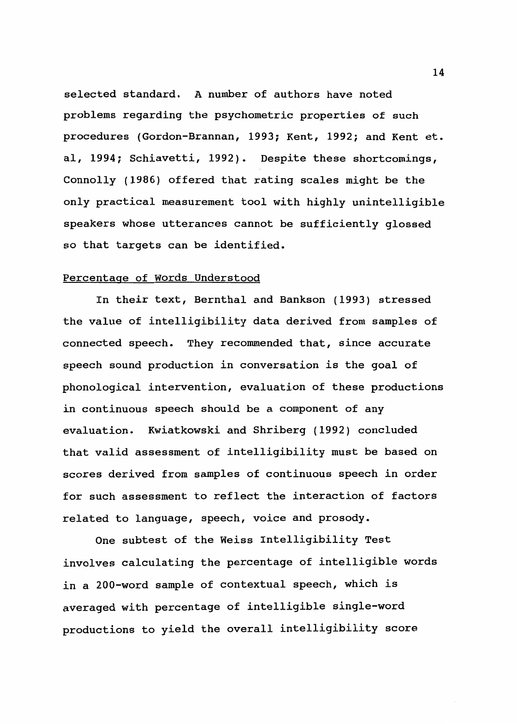selected standard. A number of authors have noted problems regarding the psychometric properties of such procedures (Gordon-Brannan, 1993; Kent, 1992; and Kent et. al, 1994; Schiavetti, 1992). Despite these shortcomings, Connolly (1986) offered that rating scales might be the only practical measurement tool with highly unintelligible speakers whose utterances cannot be sufficiently glossed so that targets can be identified.

# Percentage of Words Understood

In their text, Bernthal and Bankson (1993) stressed the value of intelligibility data derived from samples of connected speech. They recommended that, since accurate speech sound production in conversation is the goal of phonological intervention, evaluation of these productions in continuous speech should be a component of any evaluation. Kwiatkowski and Shriberg (1992) concluded that valid assessment of intelligibility must be based on scores derived from samples of continuous speech in order for such assessment to reflect the interaction of factors related to language, speech, voice and prosody.

One subtest of the Weiss Intelligibility Test involves calculating the percentage of intelligible words in a 200-word sample of contextual speech, which is averaged with percentage of intelligible single-word productions to yield the overall intelligibility score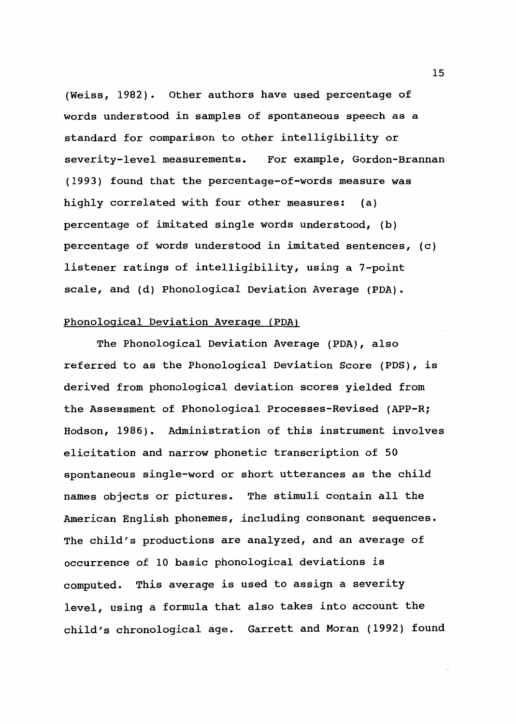(Weiss, 1982). Other authors have used percentage of words understood in samples of spontaneous speech as a standard for comparison to other intelligibility or severity-level measurements. For example, Gordon-Brannan (1993) found that the percentage-of-words measure was highly correlated with four other measures: (a) percentage of imitated single words understood, (b) percentage of words understood in imitated sentences, (c) listener ratings of intelligibility, using a 7-point scale, and (d) Phonological Deviation Average (PDA).

# Phonological Deviation Average (PDA)

The Phonological Deviation Average (PDA), also referred to as the Phonological Deviation Score (PDS), is derived from phonological deviation scores yielded from the Assessment of Phonological Processes-Revised (APP-R; Hodson, 1986). Administration of this instrument involves elicitation and narrow phonetic transcription of 50 spontaneous single-word or short utterances as the child names objects or pictures. The stimuli contain all the American English phonemes, including consonant sequences. The child's productions are analyzed, and an average of occurrence of 10 basic phonological deviations is computed. This average is used to assign a severity level, using a formula that also takes into account the child's chronological age. Garrett and Moran (1992) found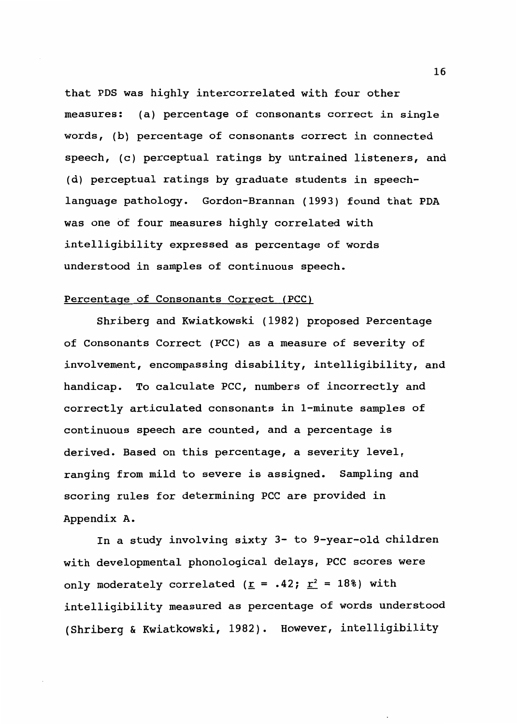that PDS was highly intercorrelated with four other measures: (a) percentage of consonants correct in single words, (b) percentage of consonants correct in connected speech, (c) perceptual ratings by untrained listeners, and (d) perceptual ratings by graduate students in speechlanguage pathology. Gordon-Brannan (1993) found that PDA was one of four measures highly correlated with intelligibility expressed as percentage of words understood in samples of continuous speech.

# Percentage of Consonants Correct (PCC)

Shriberg and Kwiatkowski (1982) proposed Percentage of Consonants Correct (PCC) as a measure of severity of involvement, encompassing disability, intelligibility, and handicap. To calculate PCC, numbers of incorrectly and correctly articulated consonants in 1-minute samples of continuous speech are counted, and a percentage is derived. Based on this percentage, a severity level, ranging from mild to severe is assigned. Sampling and scoring rules for determining PCC are provided in Appendix A.

In a study involving sixty 3- to 9-year-old children with developmental phonological delays, PCC scores were only moderately correlated ( $\underline{r}$  = .42;  $\underline{r}^2$  = 18%) with intelligibility measured as percentage of words understood (Shriberg & Kwiatkowski, 1982). However, intelligibility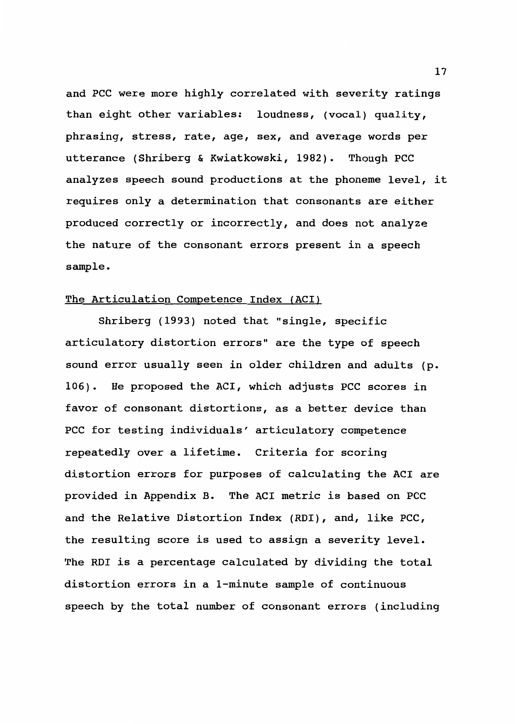and PCC were more highly correlated with severity ratings than eight other variables: loudness, (vocal) quality, phrasing, stress, rate, age, sex, and average words per utterance (Shriberg & Kwiatkowski, 1982). Though PCC analyzes speech sound productions at the phoneme level, it requires only a determination that consonants are either produced correctly or incorrectly, and does not analyze the nature of the consonant errors present in a speech sample.

# The Articulation Competence Index (ACI)

Shriberg (1993) noted that "single, specific articulatory distortion errors" are the type of speech sound error usually seen in older children and adults (p. 106). He proposed the ACI, which adjusts PCC scores in favor of consonant distortions, as a better device than PCC for testing individuals' articulatory competence repeatedly over a lifetime. Criteria for scoring distortion errors for purposes of calculating the ACI are provided in Appendix B. The ACI metric is based on PCC and the Relative Distortion Index (RDI), and, like PCC, the resulting score is used to assign a severity level. The RDI is a percentage calculated by dividing the total distortion errors in a 1-minute sample of continuous speech by the total number of consonant errors (including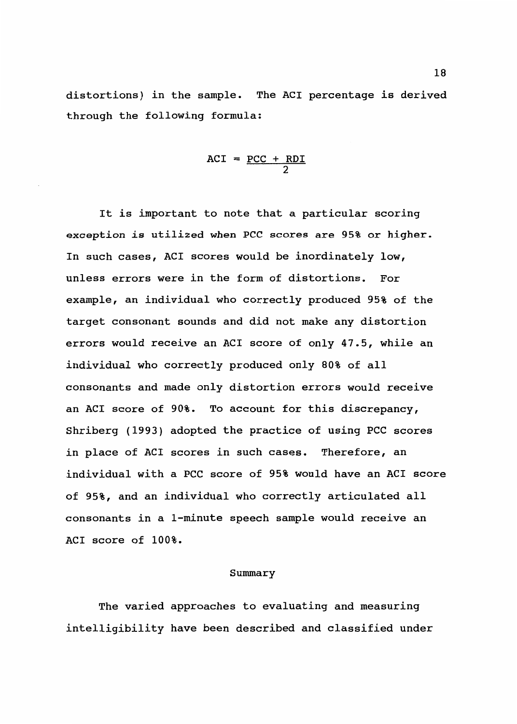distortions) in the sample. The ACI percentage is derived through the following formula:

$$
ACI = \frac{PCC + RDI}{2}
$$

It is important to note that a particular scoring exception *is* utilized when PCC scores are 95% or higher. In such cases, ACI scores would be inordinately low, unless errors were in the form of distortions. For example, an individual who correctly produced 95% of the target consonant sounds and did not make any distortion errors would receive an ACI score of only 47.5, while an individual who correctly produced only 80% of all consonants and made only distortion errors would receive an ACI score of 90%. To account for this discrepancy, Shriberg (1993) adopted the practice of using PCC scores in place of ACI scores in such cases. Therefore, an individual with a PCC score of 95% would have an ACI score of 95%, and an individual who correctly articulated all consonants in a 1-minute speech sample would receive an ACI score of 100%.

#### Summary

The varied approaches to evaluating and measuring intelligibility have been described and classified under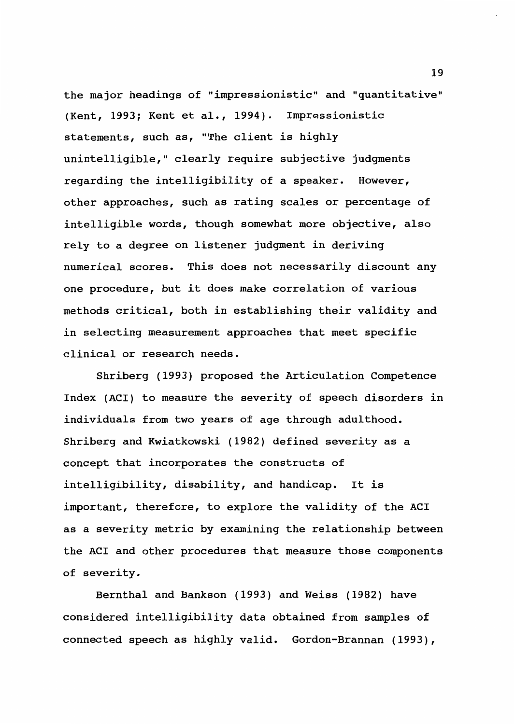the major headings of "impressionistic" and "quantitative" (Kent, 1993; Kent et al., 1994). Impressionistic statements, such as, "The client is highly unintelligible," clearly require subjective judgments regarding the intelligibility of a speaker. However, other approaches, such as rating scales or percentage of intelligible words, though somewhat more objective, also rely to a degree on listener judgment in deriving numerical scores. This does not necessarily discount any one procedure, but it does make correlation of various methods critical, both in establishing their validity and in selecting measurement approaches that meet specific clinical or research needs.

Shriberg (1993) proposed the Articulation Competence Index (ACI) to measure the severity of speech disorders in individuals from two years of age through adulthood. Shriberg and Kwiatkowski (1982) defined severity as a concept that incorporates the constructs of intelligibility, disability, and handicap. It is important, therefore, to explore the validity of the ACI as a severity metric by examining the relationship between the ACI and other procedures that measure those components of severity.

Bernthal and Bankson (1993) and Weiss (1982) have considered intelligibility data obtained from samples of connected speech as highly valid. Gordon-Brannan (1993),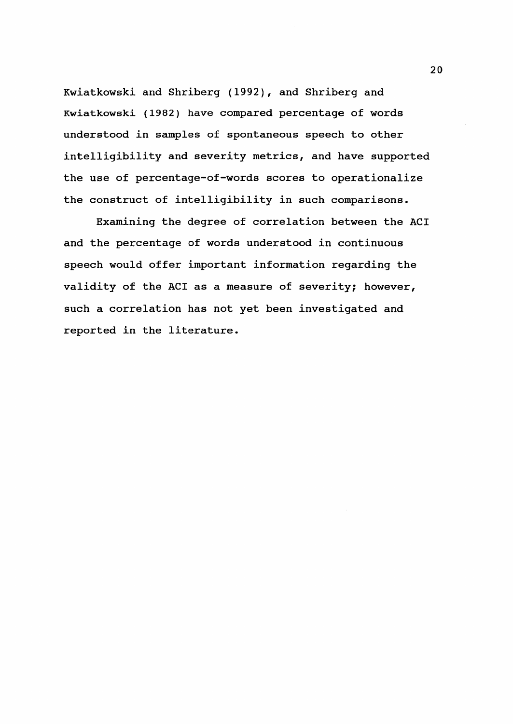Kwiatkowski and Shriberg (1992), and Shriberg and Kwiatkowski (1982) have compared percentage of words understood in samples of spontaneous speech to other intelligibility and severity metrics, and have supported the use of percentage-of-words scores to operationalize the construct of intelligibility in such comparisons.

Examining the degree of correlation between the ACI and the percentage of words understood in continuous speech would of fer important information regarding the validity of the ACI as a measure of severity; however, such a correlation has not yet been investigated and reported in the literature.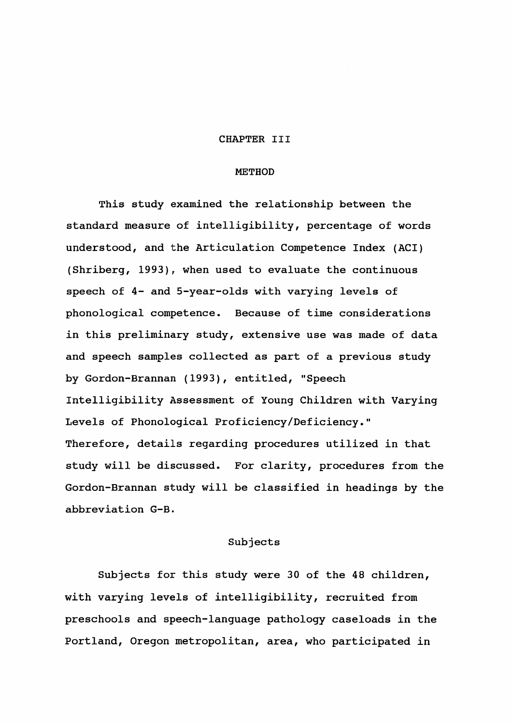### CHAPTER III

#### METHOD

This study examined the relationship between the standard measure of intelligibility, percentage of words understood, and the Articulation Competence Index (ACI) (Shriberg, 1993), when used to evaluate the continuous speech of 4- and 5-year-olds with varying levels of phonological competence. Because of time considerations in this preliminary study, extensive use was made of data and speech samples collected as part of a previous study by Gordon-Brannan (1993), entitled, "Speech Intelligibility Assessment of Young Children with Varying Levels of Phonological Proficiency/Deficiency." Therefore, details regarding procedures utilized in that study will be discussed. For clarity, procedures from the Gordon-Brannan study will be classified in headings by the abbreviation G-B.

#### Subjects

Subjects for this study were 30 of the 48 children, with varying levels of intelligibility, recruited from preschools and speech-language pathology caseloads in the Portland, Oregon metropolitan, area, who participated in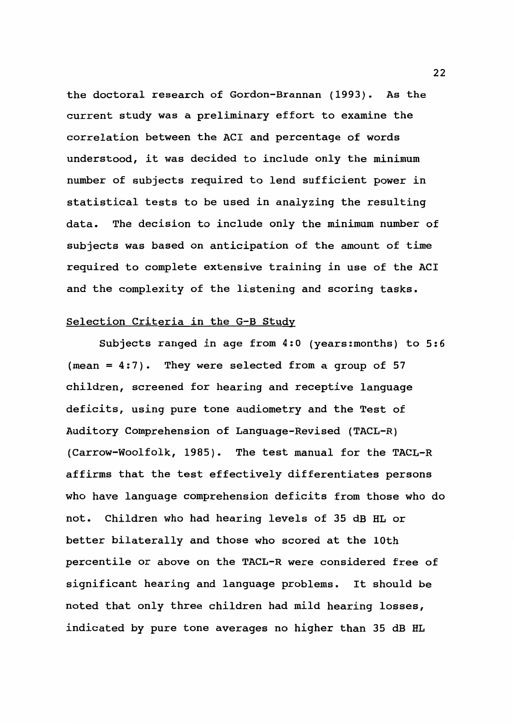the doctoral research of Gordon-Brannan (1993). As the current study was a preliminary effort to examine the correlation between the ACI and percentage of words understood, it was decided to include only the minimum number of subjects required to lend sufficient power in statistical tests to be used in analyzing the resulting data. The decision to include only the minimum number of subjects was based on anticipation of the amount of time required to complete extensive training in use of the ACI and the complexity of the listening and scoring tasks.

# Selection Criteria in the G-B Study

Subjects ranged in age from 4:0 (years:months) to 5:6 (mean =  $4:7$ ). They were selected from a group of 57 children, screened for hearing and receptive language deficits, using pure tone audiometry and the Test of Auditory Comprehension of Language-Revised (TACL-R) (Carrow-Woolfolk, 1985). The test manual for the TACL-R affirms that the test effectively differentiates persons who have language comprehension deficits from those who do not. Children who had hearing levels of 35 dB HL or better bilaterally and those who scored at the 10th percentile or above on the TACL-R were considered free of significant hearing and language problems. It should be noted that only three children had mild hearing losses, indicated by pure tone averages no higher than 35 dB HL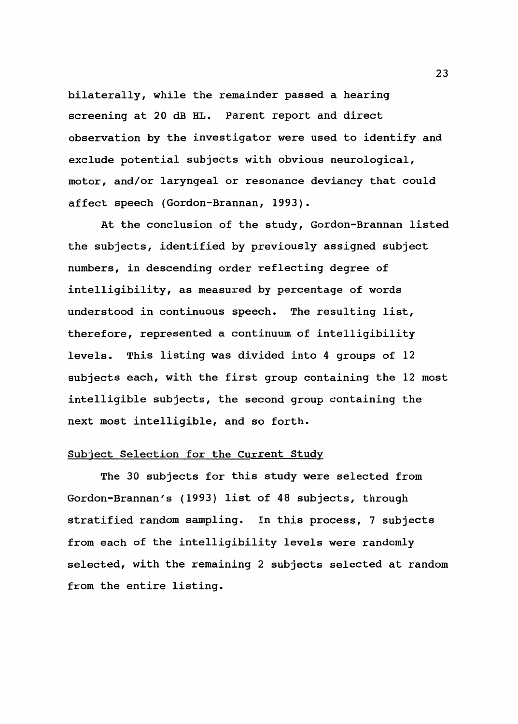bilaterally, while the remainder passed a hearing screening at 20 dB HL. Parent report and direct observation by the investigator were used to identify and exclude potential subjects with obvious neurological, motor, and/or laryngeal or resonance deviancy that could affect speech (Gordon-Brannan, 1993).

At the conclusion of the study, Gordon-Brannan listed the subjects, identified by previously assigned subject numbers, in descending order reflecting degree of intelligibility, as measured by percentage of words understood in continuous speech. The resulting list, therefore, represented a continuum of intelligibility levels. This listing was divided into 4 groups of 12 subjects each, with the first group containing the 12 most intelligible subjects, the second group containing the next most intelligible, and so forth.

# Subject Selection for the Current Study

The 30 subjects for this study were selected from Gordon-Brannan's (1993) list of 48 subjects, through stratified random sampling. In this process, 7 subjects from each of the intelligibility levels were randomly selected, with the remaining 2 subjects selected at random from the entire listing.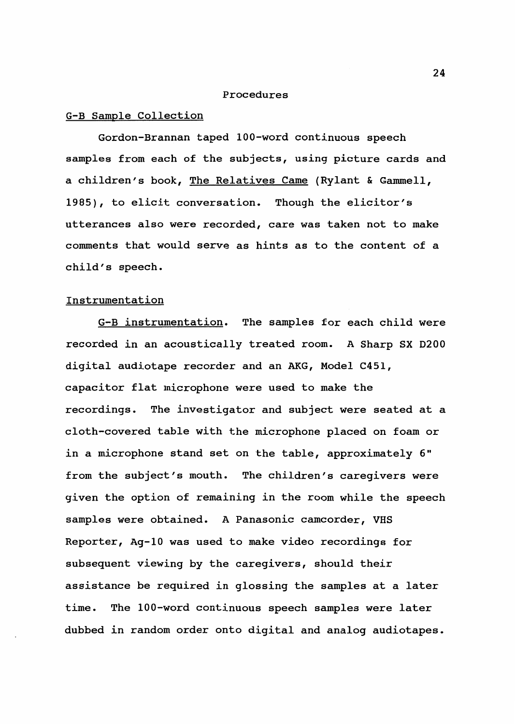#### Procedures

#### G-B Sample Collection

Gordon-Brannan taped 100-word continuous speech samples from each of the subjects, using picture cards and a children's book, The Relatives Came (Rylant & Gammell, 1985), to elicit conversation. Though the elicitor's utterances also were recorded, care was taken not to make comments that would serve as hints as to the content of a child's speech.

# Instrumentation

G-B instrumentation. The samples for each child were recorded in an acoustically treated room. A Sharp SX 0200 digital audiotape recorder and an AKG, Model C451, capacitor flat microphone were used to make the recordings. The investigator and subject were seated at a cloth-covered table with the microphone placed on foam or in a microphone stand set on the table, approximately 6" from the subject's mouth. The children's caregivers were given the option of remaining in the room while the speech samples were obtained. A Panasonic camcorder, VHS Reporter, Ag-10 was used to make video recordings for subsequent viewing by the caregivers, should their assistance be required in glossing the samples at a later time. The 100-word continuous speech samples were later dubbed in random order onto digital and analog audiotapes.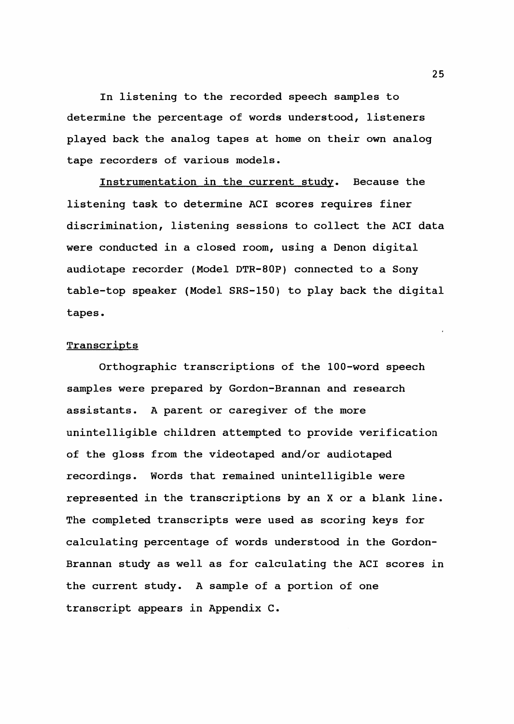In listening to the recorded speech samples to determine the percentage of words understood, listeners played back the analog tapes at home on their own analog tape recorders of various models.

Instrumentation in the current study. Because the listening task to determine ACI scores requires finer discrimination, listening sessions to collect the ACI data were conducted in a closed room, using a Denon digital audiotape recorder (Model DTR-80P) connected to a Sony table-top speaker (Model SRS-150) to play back the digital tapes.

# **Transcripts**

Orthographic transcriptions of the 100-word speech samples were prepared by Gordon-Brannan and research assistants. A parent or caregiver of the more unintelligible children attempted to provide verification of the gloss from the videotaped and/or audiotaped recordings. Words that remained unintelligible were represented in the transcriptions by an X or a blank line. The completed transcripts were used as scoring keys for calculating percentage of words understood in the Gordon-Brannan study as well as for calculating the ACI scores in the current study. A sample of a portion of one transcript appears in Appendix C.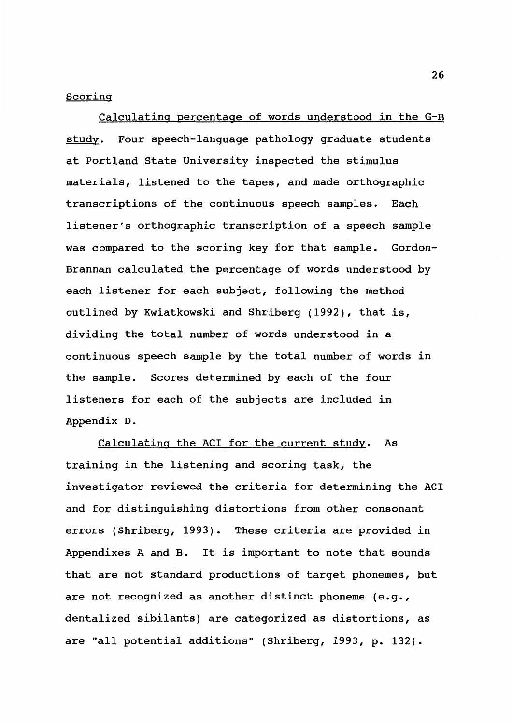### Scoring

Calculating percentage of words understood in the G-B study. Four speech-language pathology graduate students at Portland State University inspected the stimulus materials, listened to the tapes, and made orthographic transcriptions of the continuous speech samples. Each listener's orthographic transcription of a speech sample was compared to the scoring key for that sample. Gordon-Brannan calculated the percentage of words understood by each listener for each subject, following the method outlined by Kwiatkowski and Shriberg (1992), that is, dividing the total number of words understood in a continuous speech sample by the total number of words in the sample. Scores determined by each of the four listeners for each of the subjects are included in Appendix D.

Calculating the ACI for the current study. As training in the listening and scoring task, the investigator reviewed the criteria for determining the ACI and for distinguishing distortions from other consonant errors (Shriberg, 1993). These criteria are provided in Appendixes A and B. It is important to note that sounds that are not standard productions of target phonemes, but are not recognized as another distinct phoneme (e.g., dentalized sibilants) are categorized as distortions, as are "all potential additions" (Shriberg, 1993, p. 132).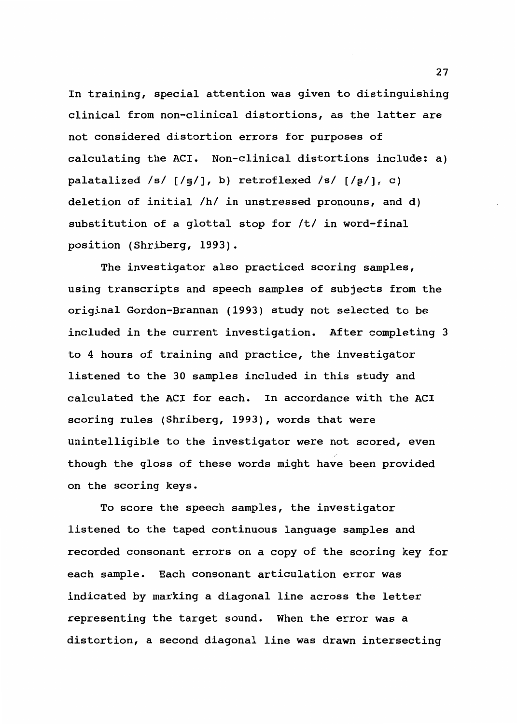In training, special attention was given to distinguishing clinical from non-clinical distortions, as the latter are not considered distortion errors for purposes of calculating the ACI. Non-clinical distortions include: a) palatalized /s/  $[$ /s $/$ ], b) retroflexed /s/  $[$ /g $/$ ], c) deletion of initial /h/ in unstressed pronouns, and d) substitution of a glottal stop for /t/ in word-final position (Shriberg, 1993).

The investigator also practiced scoring samples, using transcripts and speech samples of subjects from the original Gordon-Brannan (1993) study not selected to be included in the current investigation. After completing 3 to 4 hours of training and practice, the investigator listened to the 30 samples included in this study and calculated the ACI for each. In accordance with the ACI scoring rules (Shriberg, 1993), words that were unintelligible to the investigator were not scored, even though the gloss of these words might have been provided on the scoring keys.

To score the speech samples, the investigator listened to the taped continuous language samples and recorded consonant errors on a copy of the scoring key for each sample. Each consonant articulation error was indicated by marking a diagonal line across the letter representing the target sound. When the error was a distortion, a second diagonal line was drawn intersecting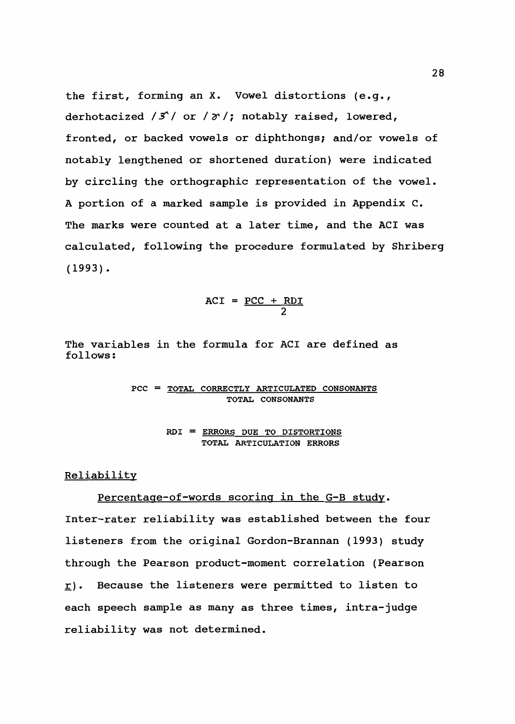the first, forming an X. Vowel distortions (e.g., derhotacized  $/3$  or  $/7$ ; notably raised, lowered, fronted, or backed vowels or diphthongs; and/or vowels of notably lengthened or shortened duration) were indicated by circling the orthographic representation of the vowel. A portion of a marked sample is provided in Appendix C. The marks were counted at a later time, and the ACI was calculated, following the procedure formulated by Shriberg  $(1993)$ .

$$
ACT = \frac{PCC + RDI}{2}
$$

The variables in the formula for ACI are defined as follows:

$$
\texttt{PCC} = \underline{\texttt{TOTAL CORRECTLY ARTICULATED CONSONANTS}} \\\ \texttt{TOTAL CONSONANTS}
$$

ROI = ERRORS DUE TO DISTORTIONS TOTAL ARTICULATION ERRORS

### Reliability

# Percentage-of-words scoring in the G-B study.

Inter-rater reliability was established between the four listeners from the original Gordon-Brannan (1993) study through the Pearson product-moment correlation (Pearson  $\underline{r}$ ). Because the listeners were permitted to listen to each speech sample as many as three times, intra-judge reliability was not determined.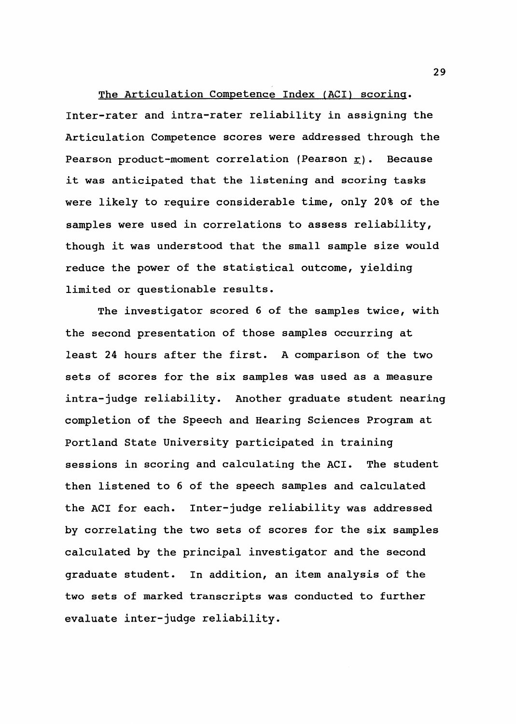The Articulation Competence Index (ACI) scoring. Inter-rater and intra-rater reliability in assigning the Articulation Competence scores were addressed through the Pearson product-moment correlation (Pearson  $\underline{r}$ ). Because it was anticipated that the listening and scoring tasks were likely to require considerable time, only 20% of the samples were used in correlations to assess reliability, though it was understood that the small sample size would reduce the power of the statistical outcome, yielding limited or questionable results.

The investigator scored 6 of the samples twice, with the second presentation of those samples occurring at least 24 hours after the first. A comparison of the two sets of scores for the six samples was used as a measure intra-judge reliability. Another graduate student nearing completion of the Speech and Hearing Sciences Program at Portland State University participated in training sessions in scoring and calculating the ACI. The student then listened to 6 of the speech samples and calculated the ACI for each. Inter-judge reliability was addressed by correlating the two sets of scores for the six samples calculated by the principal investigator and the second graduate student. In addition, an item analysis of the two sets of marked transcripts was conducted to further evaluate inter-judge reliability.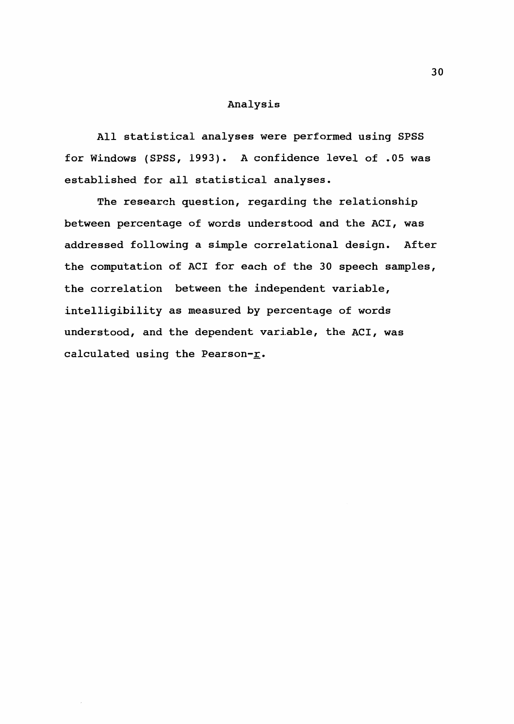### Analysis

All statistical analyses were performed using SPSS for Windows (SPSS, 1993). A confidence level of .05 was established for all statistical analyses.

The research question, regarding the relationship between percentage of words understood and the ACI, was addressed following a simple correlational design. After the computation of ACI for each of the 30 speech samples, the correlation between the independent variable, intelligibility as measured by percentage of words understood, and the dependent variable, the ACI, was calculated using the Pearson- $\underline{r}$ .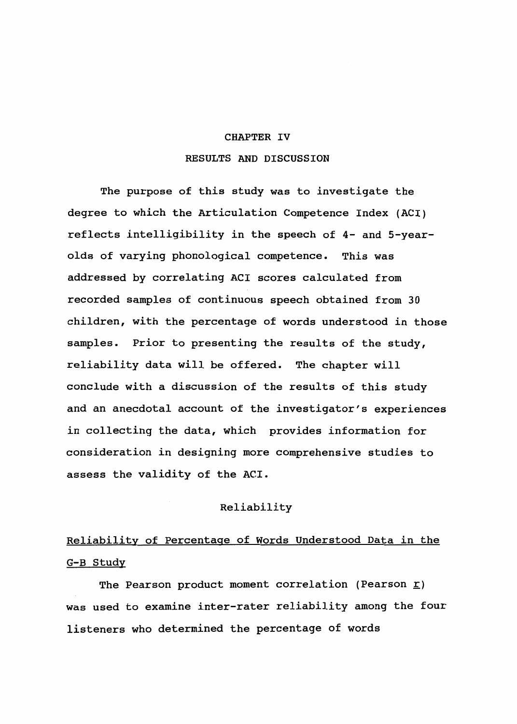# CHAPTER IV RESULTS AND DISCUSSION

The purpose of this study was to investigate the degree to which the Articulation Competence Index (ACI) reflects intelligibility in the speech of 4- and 5-yearolds of varying phonological competence. This was addressed by correlating ACI scores calculated from recorded samples of continuous speech obtained from 30 children, with the percentage of words understood in those samples. Prior to presenting the results of the study, reliability data will be offered. The chapter will conclude with a discussion of the results of this study and an anecdotal account of the investigator's experiences in collecting the data, which provides information for consideration in designing more comprehensive studies to assess the validity of the ACI.

### Reliability

# Reliability of Percentage of Words Understood Data in the G-B Study

The Pearson product moment correlation (Pearson  $\underline{r}$ ) was used to examine inter-rater reliability among the four listeners who determined the percentage of words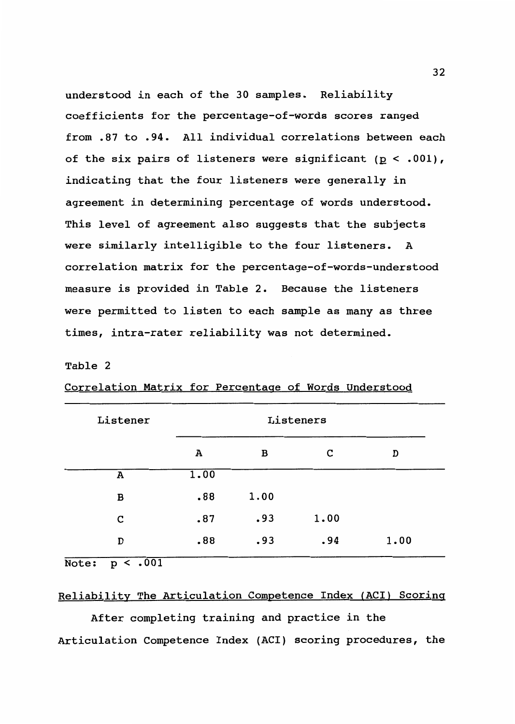understood *in* each of the 30 samples. Reliability coefficients for the percentage-of-words scores ranged from .87 to .94. All individual correlations between each of the six pairs of listeners were significant ( $p < .001$ ), indicating that the four listeners were generally *in*  agreement in determining percentage of words understood. This level of agreement also suggests that the subjects were similarly intelligible to the four listeners. A correlation matrix for the percentage-of-words-understood measure is provided in Table 2. Because the listeners were permitted to listen to each sample as many as three times, intra-rater reliability was not determined.

#### Table 2

| Listener | Listeners |      |      |      |  |  |  |
|----------|-----------|------|------|------|--|--|--|
|          | А         | в    | с    | D    |  |  |  |
| A        | 1.00      |      |      |      |  |  |  |
| B        | .88       | 1.00 |      |      |  |  |  |
| C        | .87       | .93  | 1.00 |      |  |  |  |
| D        | .88       | .93  | .94  | 1.00 |  |  |  |

| Correlation Matrix for Percentage of Words Understood |  |  |  |
|-------------------------------------------------------|--|--|--|
|                                                       |  |  |  |

Note: p < .001

# Reliability The Articulation Competence Index (ACI) Scoring

After completing training and practice *in* the Articulation Competence Index (AC!) scoring procedures, the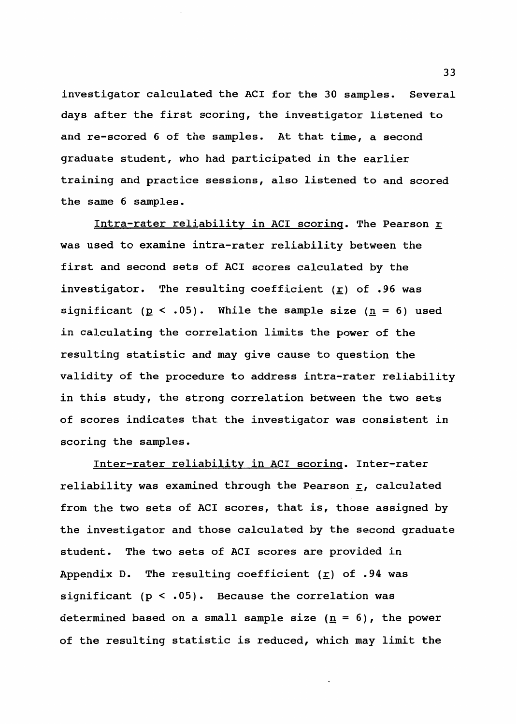investigator calculated the ACI for the 30 samples. Several days after the first scoring, the investigator listened to and re-scored 6 of the samples. At that time, a second graduate student, who had participated in the earlier training and practice sessions, also listened to and scored the same 6 samples.

Intra-rater reliability in ACI scoring. The Pearson *K*  was used to examine intra-rater reliability between the first and second sets of ACI scores calculated by the investigator. The resulting coefficient ( $\underline{r}$ ) of .96 was significant ( $p < .05$ ). While the sample size ( $n = 6$ ) used in calculating the correlation limits the power of the resulting statistic and may give cause to question the validity of the procedure to address intra-rater reliability in this study, the strong correlation between the two sets of scores indicates that the investigator was consistent in scoring the samples.

Inter-rater reliability in ACI scoring. Inter-rater reliability was examined through the Pearson  $\underline{r}$ , calculated from the two sets of ACI scores, that is, those assigned by the investigator and those calculated by the second graduate student. The two sets of ACI scores are provided in Appendix D. The resulting coefficient ( $\underline{r}$ ) of .94 was significant  $(p < .05)$ . Because the correlation was determined based on a small sample size  $(\underline{n} = 6)$ , the power of the resulting statistic is reduced, which may limit the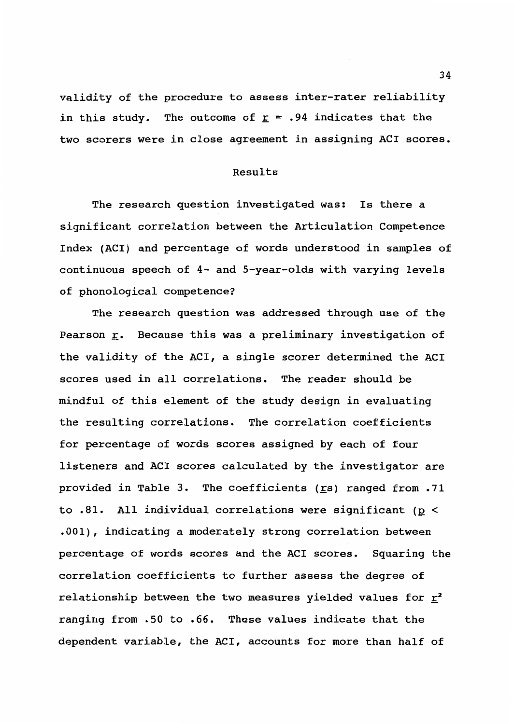validity of the procedure to assess inter-rater reliability in this study. The outcome of  $\underline{r}$  = .94 indicates that the two scorers were in close agreement in assigning ACI scores.

## Results

The research question investigated was: Is there a significant correlation between the Articulation Competence Index (ACI) and percentage of words understood in samples of continuous speech of 4- and 5-year-olds with varying levels of phonological competence?

The research question was addressed through use of the Pearson  $\underline{r}$ . Because this was a preliminary investigation of the validity of the ACI, a single scorer determined the ACI scores used in all correlations. The reader should be mindful of this element of the study design in evaluating the resulting correlations. The correlation coefficients for percentage of words scores assigned by each of four listeners and ACI scores calculated by the investigator are provided in Table 3. The coefficients ( $\text{rs}$ ) ranged from .71 to .81. All individual correlations were significant ( $p <$ .001), indicating a moderately strong correlation between percentage of words scores and the ACI scores. Squaring the correlation coefficients to further assess the degree of relationship between the two measures yielded values for  $\underline{r}^2$ ranging from .50 to .66. These values indicate that the dependent variable, the ACI, accounts for more than half of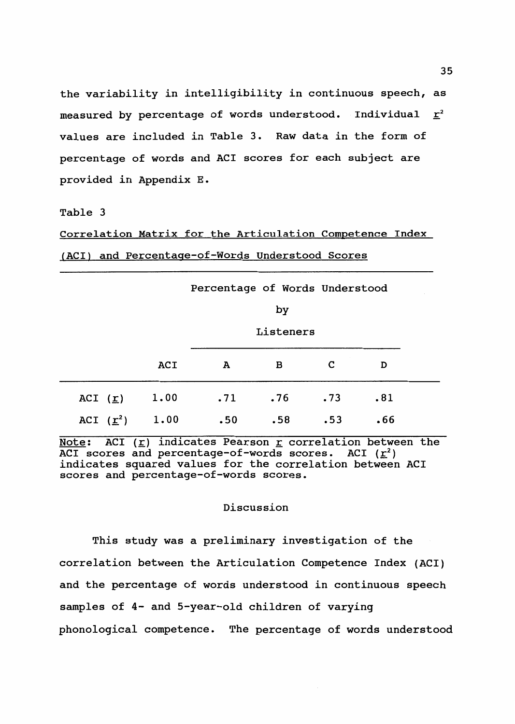the variability in intelligibility in continuous speech, as measured by percentage of words understood. Individual  $\underline{r}^2$ values are included in Table 3. Raw data in the form of percentage of words and ACI scores for each subject are provided in Appendix E.

### Table 3

Correlation Matrix for the Articulation Competence Index (ACI) and Percentage-of-Words Understood Scores

|                         |      | Percentage of Words Understood |     |     |     |  |  |  |
|-------------------------|------|--------------------------------|-----|-----|-----|--|--|--|
|                         |      | by                             |     |     |     |  |  |  |
|                         |      | Listeners                      |     |     |     |  |  |  |
|                         | ACI  | A                              | в   | C   | D   |  |  |  |
| ACI $(\underline{r})$   | 1.00 | .71                            | .76 | .73 | .81 |  |  |  |
| ACI $(\underline{r}^2)$ | 1.00 | .50                            | .58 | .53 | .66 |  |  |  |

Note: ACI ( $\underline{r}$ ) indicates Pearson  $\underline{r}$  correlation between the ACI scores and percentage-of-words scores. ACI  $(\underline{r}^2)$ indicates squared values for the correlation between ACI scores and percentage-of-words scores.

### Discussion

This study was a preliminary investigation of the correlation between the Articulation Competence Index (AC!) and the percentage of words understood in continuous speech samples of 4- and 5-year-old children of varying phonological competence. The percentage of words understood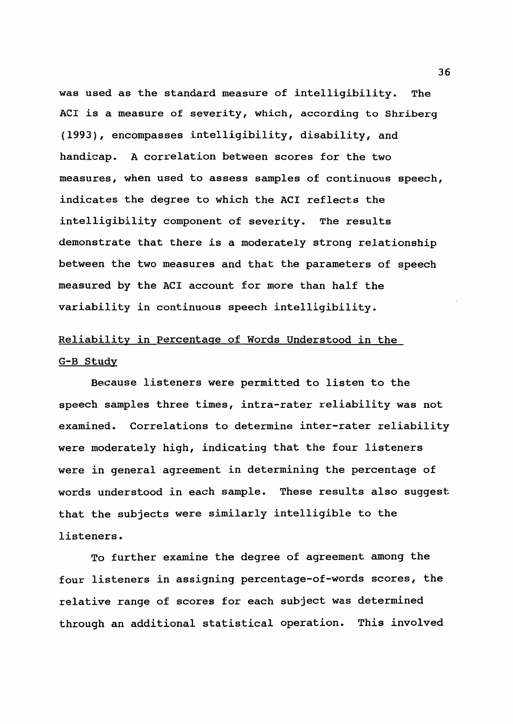was used as the standard measure of intelligibility. The ACI is a measure of severity, which, according to Shriberg (1993), encompasses intelligibility, disability, and handicap. A correlation between scores for the two measures, when used to assess samples of continuous speech, indicates the degree to which the ACI reflects the intelligibility component of severity. The results demonstrate that there is a moderately strong relationship between the two measures and that the parameters of speech measured by the ACI account for more than half the variability in continuous speech intelligibility.

# Reliability in Percentage of Words Understood in the G-B Study

Because listeners were permitted to listen to the speech samples three times, intra-rater reliability was not examined. Correlations to determine inter-rater reliability were moderately high, indicating that the four listeners were in general agreement in determining the percentage of words understood in each sample. These results also suggest that the subjects were similarly intelligible to the listeners.

To further examine the degree of agreement among the four listeners in assigning percentage-of-words scores, the relative range of scores for each subject was determined through an additional statistical operation. This involved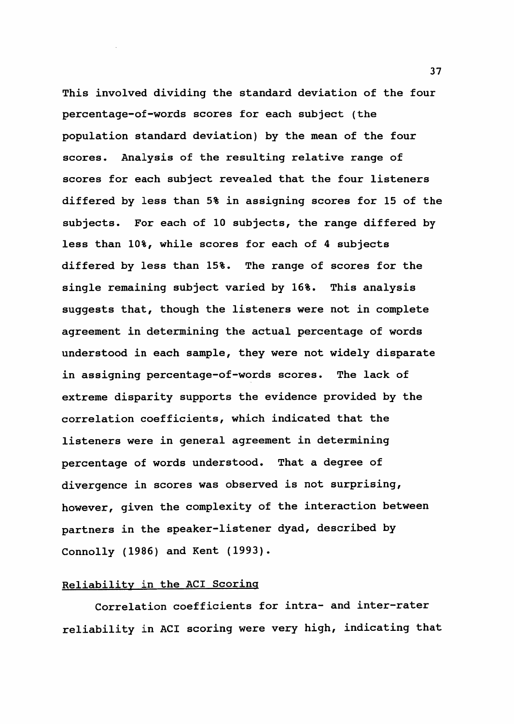This involved dividing the standard deviation of the four percentage-of-words scores for each subject (the population standard deviation) by the mean of the four scores. Analysis of the resulting relative range of scores for each subject revealed that the four listeners differed by less than 5% in assigning scores for 15 of the subjects. For each of 10 subjects, the range differed by less than 10%, while scores for each of 4 subjects differed by less than 15%. The range of scores for the single remaining subject varied by 16%. This analysis suggests that, though the listeners were not in complete agreement in determining the actual percentage of words understood in each sample, they were not widely disparate in assigning percentage-of-words scores. The lack of extreme disparity supports the evidence provided by the correlation coefficients, which indicated that the listeners were in general agreement in determining percentage of words understood. That a degree of divergence in scores was observed is not surprising, however, given the complexity of the interaction between partners in the speaker-listener dyad, described by Connolly (1986) and Kent (1993).

## Reliability in the ACI Scoring

Correlation coefficients for intra- and inter-rater reliability in ACI scoring were very high, indicating that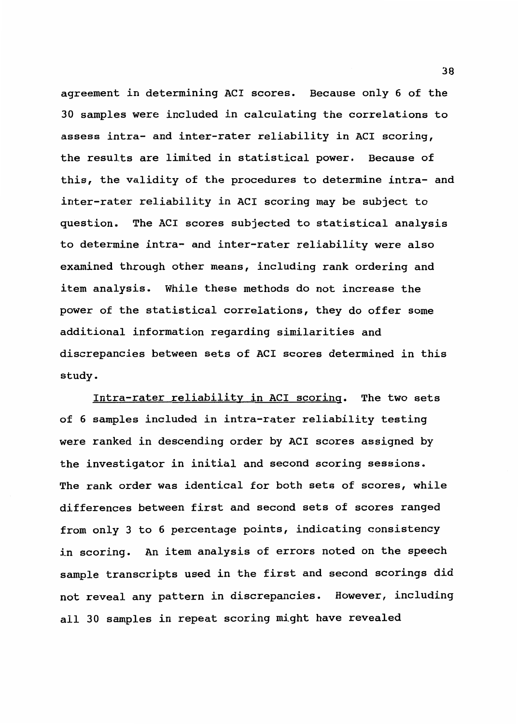agreement in determining ACI scores. Because only 6 of the 30 samples were included in calculating the correlations to assess intra- and inter-rater reliability in ACI scoring, the results are limited in statistical power. Because of this, the validity of the procedures to determine intra- and inter-rater reliability in ACI scoring may be subject to question. The ACI scores subjected to statistical analysis to determine intra- and inter-rater reliability were also examined through other means, including rank ordering and item analysis. While these methods do not increase the power of the statistical correlations, they do offer some additional information regarding similarities and discrepancies between sets of ACI scores determined in this study.

Intra-rater reliability in ACI scoring. The two sets of 6 samples included in intra-rater reliability testing were ranked in descending order by ACI scores assigned by the investigator in initial and second scoring sessions. The rank order was identical for both sets of scores, while differences between first and second sets of scores ranged from only 3 to 6 percentage points, indicating consistency in scoring. An item analysis of errors noted on the speech sample transcripts used in the first and second scorings did not reveal any pattern in discrepancies. However, including all 30 samples in repeat scoring might have revealed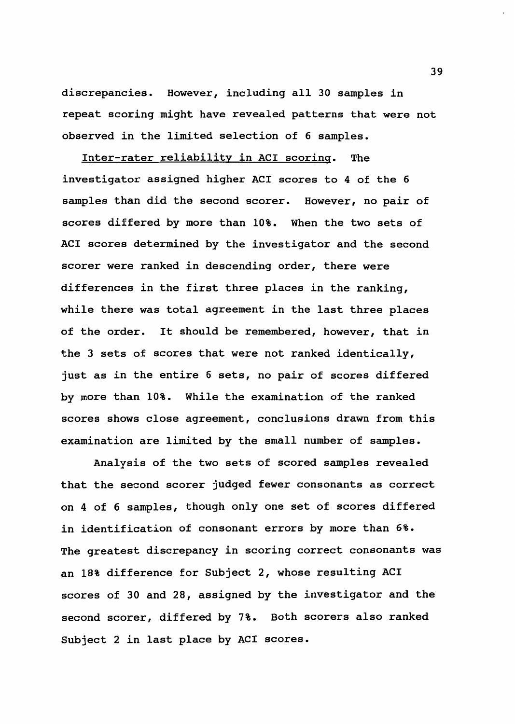discrepancies. However, including all 30 samples in repeat scoring might have revealed patterns that were not observed in the limited selection of 6 samples.

Inter-rater reliability in ACI scoring. The investigator assigned higher ACI scores to 4 of the 6 samples than did the second scorer. However, no pair of scores differed by more than 10%. When the two sets of ACI scores determined by the investigator and the second scorer were ranked in descending order, there were differences in the first three places in the ranking, while there was total agreement in the last three places of the order. It should be remembered, however, that in the 3 sets of scores that were not ranked identically, just as in the entire 6 sets, no pair of scores differed by more than 10%. While the examination of the ranked scores shows close agreement, conclusions drawn from this examination are limited by the small number of samples.

Analysis of the two sets of scored samples revealed that the second scorer judged fewer consonants as correct on 4 of 6 samples, though only one set of scores differed in identification of consonant errors by more than 6%. The greatest discrepancy in scoring correct consonants was an 18% difference for Subject 2, whose resulting ACI scores of 30 and 28, assigned by the investigator and the second scorer, differed by 7%. Both scorers also ranked Subject 2 in last place by ACI scores.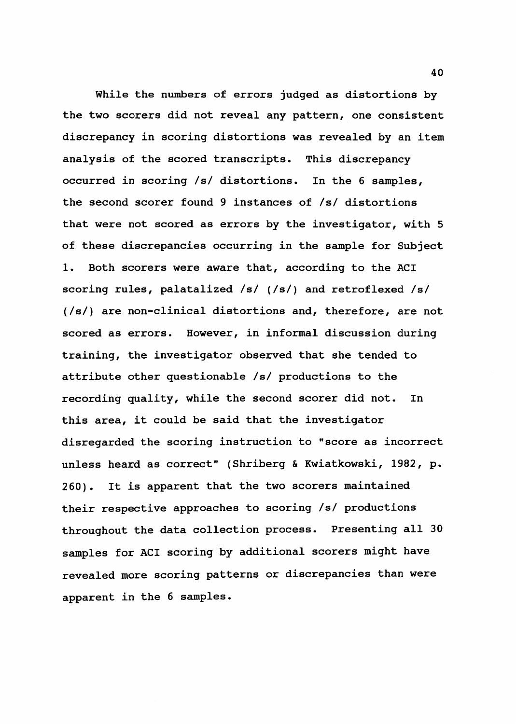While the numbers of errors judged as distortions by the two scorers did not reveal any pattern, one consistent discrepancy in scoring distortions was revealed by an item analysis of the scored transcripts. This discrepancy occurred in scoring /s/ distortions. In the 6 samples, the second scorer found 9 instances of /s/ distortions that were not scored as errors by the investigator, with 5 of these discrepancies occurring in the sample for Subject 1. Both scorers were aware that, according to the ACI scoring rules, palatalized /s/ (/s/) and retroflexed /s/ (/s/) are non-clinical distortions and, therefore, are not scored as errors. However, in informal discussion during training, the investigator observed that she tended to attribute other questionable /s/ productions to the recording quality, while the second scorer did not. In this area, it could be said that the investigator disregarded the scoring instruction to "score as incorrect unless heard as correct" (Shriberg & Kwiatkowski, 1982, p. 260). It is apparent that the two scorers maintained their respective approaches to scoring /s/ productions throughout the data collection process. Presenting all 30 samples for ACI scoring by additional scorers might have revealed more scoring patterns or discrepancies than were apparent in the 6 samples.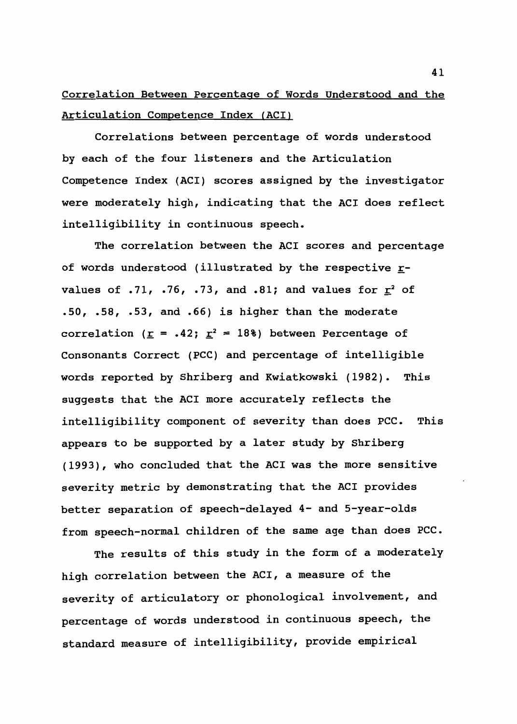# Correlation Between Percentage of Words Understood and the Articulation Competence Index (ACI)

Correlations between percentage of words understood by each of the four listeners and the Articulation Competence Index (ACI) scores assigned by the investigator were moderately high, indicating that the ACI does reflect intelligibility in continuous speech.

The correlation between the ACI scores and percentage of words understood (illustrated by the respective  $r$ values of .71, .76, .73, and .81; and values for  $\underline{r}^2$  of .50, .58, .53, and .66) is higher than the moderate correlation ( $\underline{r} = .42$ ;  $\underline{r}^2 = 18$ ) between Percentage of Consonants Correct (PCC) and percentage of intelligible words reported by Shriberg and Kwiatkowski (1982). This suggests that the ACI more accurately reflects the intelligibility component of severity than does PCC. This appears to be supported by a later study by Shriberg (1993), who concluded that the ACI was the more sensitive severity metric by demonstrating that the ACI provides better separation of speech-delayed 4- and 5-year-olds from speech-normal children of the same age than does PCC.

The results of this study in the form of a moderately high correlation between the ACI, a measure of the severity of articulatory or phonological involvement, and percentage of words understood in continuous speech, the standard measure of intelligibility, provide empirical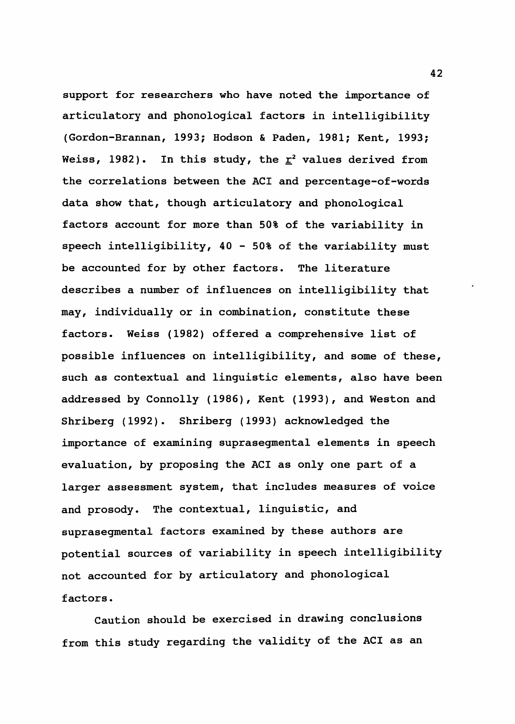support for researchers who have noted the importance of articulatory and phonological factors in intelligibility (Gordon-Brannan, 1993; Hodson & Paden, 1981; Kent, 1993; Weiss, 1982). In this study, the  $r^2$  values derived from the correlations between the ACI and percentage-of-words data show that, though articulatory and phonological factors account for more than 50% of the variability in speech intelligibility, 40 - 50% of the variability must be accounted for by other factors. The literature describes a number of influences on intelligibility that may, individually or in combination, constitute these factors. Weiss (1982) offered a comprehensive list of possible influences on intelligibility, and some of these, such as contextual and linguistic elements, also have been addressed by Connolly (1986), Kent (1993), and Weston and Shriberg (1992). Shriberg (1993) acknowledged the importance of examining suprasegmental elements in speech evaluation, by proposing the ACI as only one part of a larger assessment system, that includes measures of voice and prosody. The contextual, linguistic, and suprasegmental factors examined by these authors are potential sources of variability in speech intelligibility not accounted for by articulatory and phonological factors.

Caution should be exercised in drawing conclusions from this study regarding the validity of the ACI as an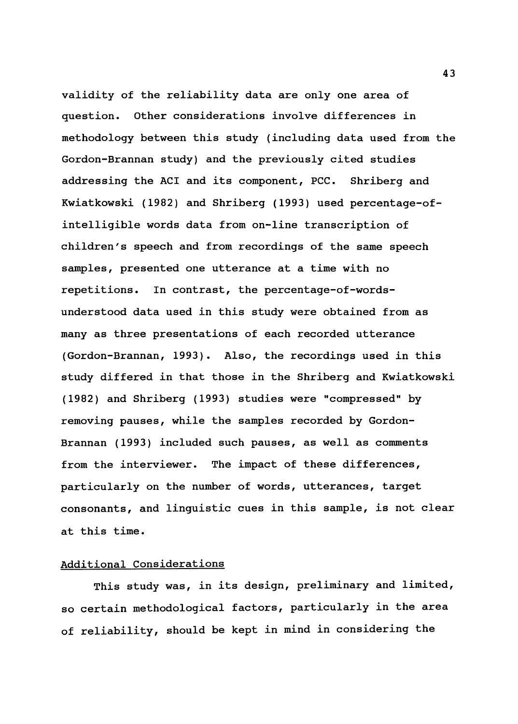validity of the reliability data are only one area of question. Other considerations involve differences in methodology between this study (including data used from the Gordon-Brannan study) and the previously cited studies addressing the ACI and its component, PCC. Shriberg and Kwiatkowski (1982) and Shriberg (1993) used percentage-ofintelligible words data from on-line transcription of children's speech and from recordings of the same speech samples, presented one utterance at a time with no repetitions. In contrast, the percentage-of-wordsunderstood data used in this study were obtained from as many as three presentations of each recorded utterance (Gordon-Brannan, 1993). Also, the recordings used in this study differed in that those in the Shriberg and Kwiatkowski (1982) and Shriberg (1993) studies were "compressed" by removing pauses, while the samples recorded by Gordon-Brannan (1993) included such pauses, as well as comments from the interviewer. The impact of these differences, particularly on the number of words, utterances, target consonants, and linguistic cues in this sample, is not clear at this time.

#### Additional Considerations

This study was, in its design, preliminary and limited, so certain methodological factors, particularly in the area of reliability, should be kept in mind in considering the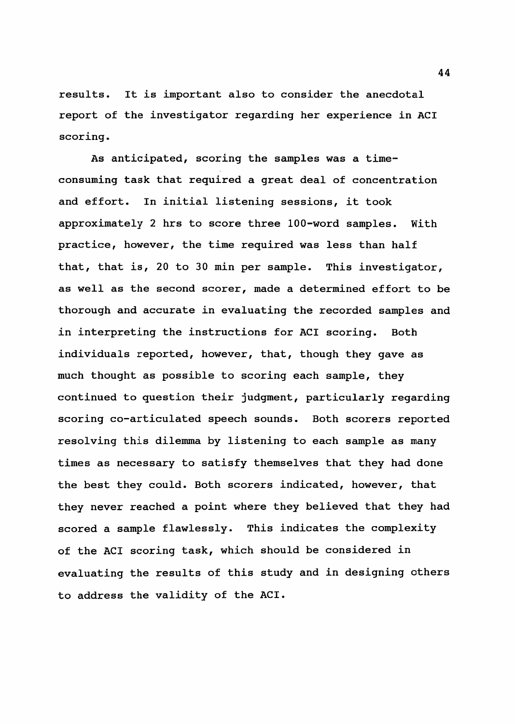results. It is important also to consider the anecdotal report of the investigator regarding her experience in ACI scoring.

As anticipated, scoring the samples was a timeconsuming task that required a great deal of concentration and effort. In initial listening sessions, it took approximately 2 hrs to score three 100-word samples. With practice, however, the time required was less than half that, that is, 20 to 30 min per sample. This investigator, as well as the second scorer, made a determined effort to be thorough and accurate in evaluating the recorded samples and in interpreting the instructions for ACI scoring. Both individuals reported, however, that, though they gave as much thought as possible to scoring each sample, they continued to question their judgment, particularly regarding scoring co-articulated speech sounds. Both scorers reported resolving this dilemma by listening to each sample as many times as necessary to satisfy themselves that they had done the best they could. Both scorers indicated, however, that they never reached a point where they believed that they had scored a sample flawlessly. This indicates the complexity of the ACI scoring task, which should be considered in evaluating the results of this study and in designing others to address the validity of the ACI.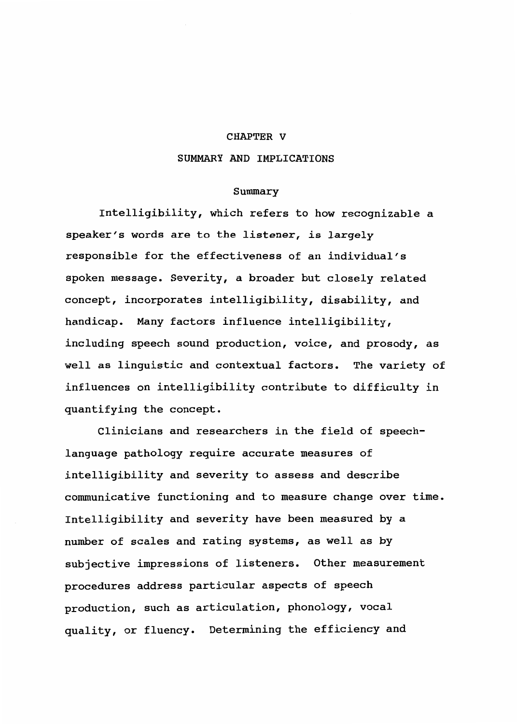#### CHAPTER V

### SUMMARY AND IMPLICATIONS

#### Summary

Intelligibility, which refers to how recognizable a speaker's words are to the listener, is largely responsible for the effectiveness of an individual's spoken message. Severity, a broader but closely related concept, incorporates intelligibility, disability, and handicap. Many factors influence intelligibility, including speech sound production, voice, and prosody, as well as linguistic and contextual factors. The variety of influences on intelligibility contribute to difficulty in quantifying the concept.

Clinicians and researchers in the field of speechlanguage pathology require accurate measures of intelligibility and severity to assess and describe communicative functioning and to measure change over time. Intelligibility and severity have been measured by a number of scales and rating systems, as well as by subjective impressions of listeners. Other measurement procedures address particular aspects of speech production, such as articulation, phonology, vocal quality, or fluency. Determining the efficiency and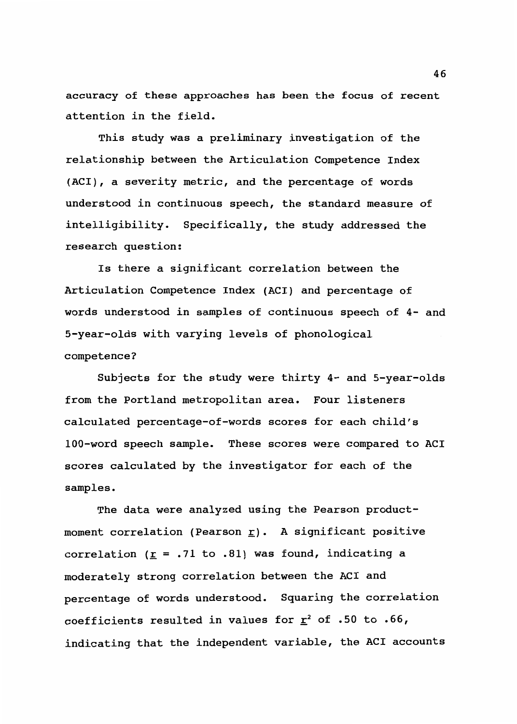accuracy of these approaches has been the focus of recent attention in the field.

This study was a preliminary investigation of the relationship between the Articulation Competence Index (ACI), a severity metric, and the percentage of words understood in continuous speech, the standard measure of intelligibility. Specifically, the study addressed the research question:

Is there a significant correlation between the Articulation Competence Index (ACI) and percentage of words understood in samples of continuous speech of 4- and 5-year-olds with varying levels of phonological competence?

Subjects for the study were thirty 4- and 5-year-olds from the Portland metropolitan area. Four listeners calculated percentage-of-words scores for each child's 100-word speech sample. These scores were compared to ACI scores calculated by the investigator for each of the samples.

The data were analyzed using the Pearson productmoment correlation (Pearson  $\underline{r})$ . A significant positive correlation ( $\underline{r}$  = .71 to .81) was found, indicating a moderately strong correlation between the ACI and percentage of words understood. Squaring the correlation coefficients resulted in values for  $\underline{r}^2$  of .50 to .66, indicating that the independent variable, the ACI accounts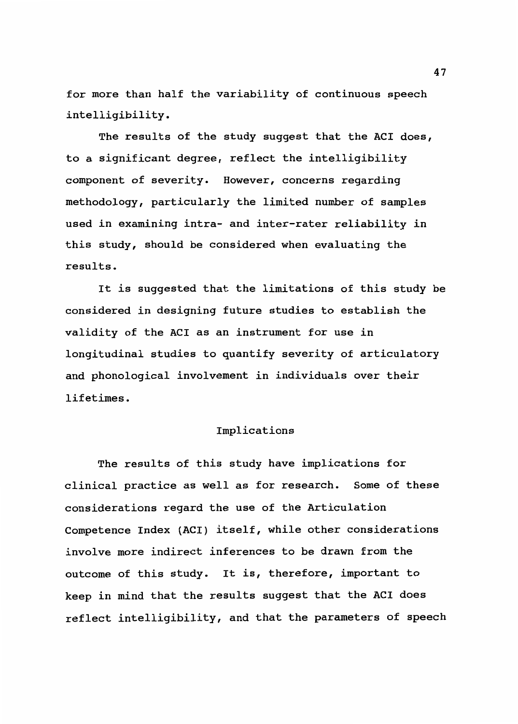for more than half the variability of continuous speech intelligibility.

The results of the study suggest that the ACI does, to a significant degree, reflect the intelligibility component of severity. However, concerns regarding methodology, particularly the limited number of samples used in examining intra- and inter-rater reliability in this study, should be considered when evaluating the results.

It is suggested that the limitations of this study be considered in designing future studies to establish the validity of the ACI as an instrument for use in longitudinal studies to quantify severity of articulatory and phonological involvement in individuals over their lifetimes.

#### Implications

The results of this study have implications for clinical practice as well as for research. Some of these considerations regard the use of the Articulation Competence Index (AC!) itself, while other considerations involve more indirect inferences to be drawn from the outcome of this study. It is, therefore, important to keep in mind that the results suggest that the ACI does reflect intelligibility, and that the parameters of speech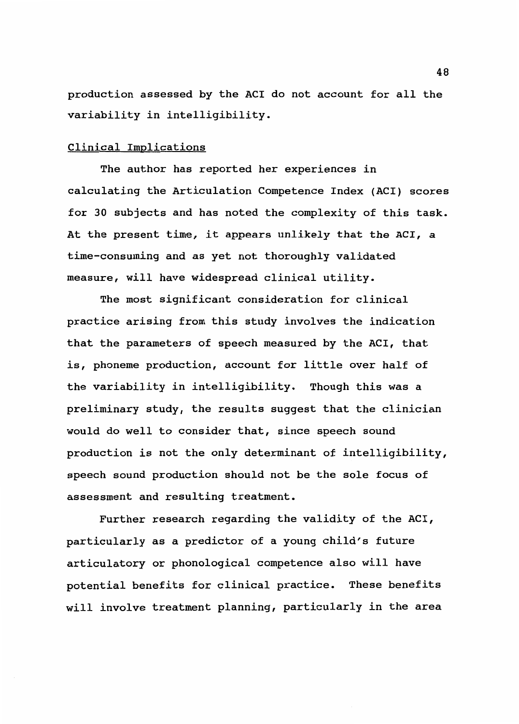production assessed by the AC! do not account for all the variability in intelligibility.

### Clinical Implications

The author has reported her experiences in calculating the Articulation Competence Index (AC!) scores for 30 subjects and has noted the complexity of this task. At the present time, it appears unlikely that the ACI, a time-consuming and as yet not thoroughly validated measure, will have widespread clinical utility.

The most significant consideration for clinical practice arising from this study involves the indication that the parameters of speech measured by the ACI, that is, phoneme production, account for little over half of the variability in intelligibility. Though this was a preliminary study, the results suggest that the clinician would do well to consider that, since speech sound production is not the only determinant of intelligibility, speech sound production should not be the sole focus of assessment and resulting treatment.

Further research regarding the validity of the ACI, particularly as a predictor of a young child's future articulatory or phonological competence also will have potential benefits for clinical practice. These benefits will involve treatment planning, particularly in the area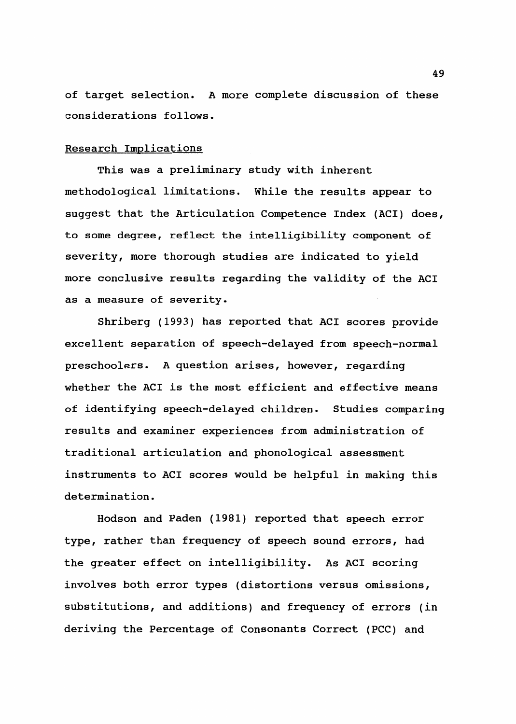of target selection. A more complete discussion of these considerations follows.

#### Research Implications

This was a preliminary study with inherent methodological limitations. While the results appear to suggest that the Articulation Competence Index (ACI) does, to some degree, reflect the intelligibility component of severity, more thorough studies are indicated to yield more conclusive results regarding the validity of the ACI as a measure of severity.

Shriberg (1993) has reported that ACI scores provide excellent separation of speech-delayed from speech-normal preschoolers. A question arises, however, regarding whether the ACI is the most efficient and effective means of identifying speech-delayed children. Studies comparing results and examiner experiences from administration of traditional articulation and phonological assessment instruments to ACI scores would be helpful in making this determination.

Hodson and Paden (1981) reported that speech error type, rather than frequency of speech sound errors, had the greater effect on intelligibility. As ACI scoring involves both error types (distortions versus omissions, substitutions, and additions) and frequency of errors (in deriving the Percentage of Consonants Correct (PCC) and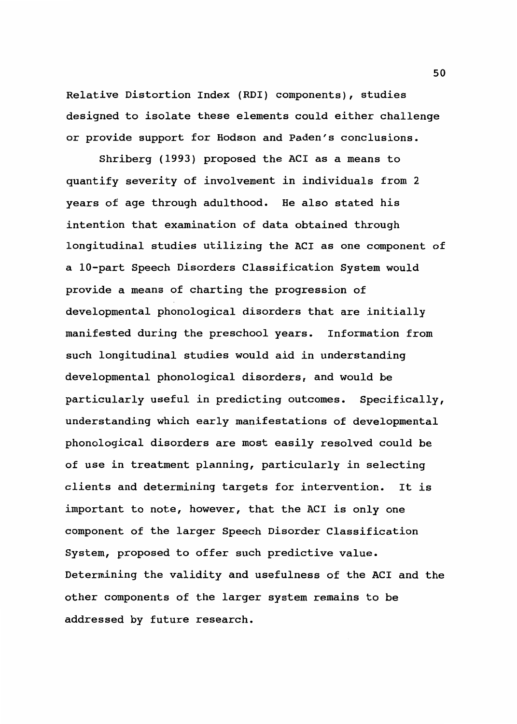Relative Distortion Index (RDI) components), studies designed to isolate these elements could either challenge or provide support for Hodson and Paden's conclusions.

Shriberg (1993) proposed the ACI as a means to quantify severity of involvement in individuals from 2 years of age through adulthood. He also stated his intention that examination of data obtained through longitudinal studies utilizing the ACI as one component of a 10-part Speech Disorders Classification System would provide a means of charting the progression of developmental phonological disorders that are initially manifested during the preschool years. Information from such longitudinal studies would aid in understanding developmental phonological disorders, and would be particularly useful *in* predicting outcomes. Specifically, understanding which early manifestations of developmental phonological disorders are most easily resolved could be of use in treatment planning, particularly *in* selecting clients and determining targets for intervention. It is important to note, however, that the ACI is only one component of the larger Speech Disorder Classification System, proposed to offer such predictive value. Determining the validity and usefulness of the ACI and the other components of the larger system remains to be addressed by future research.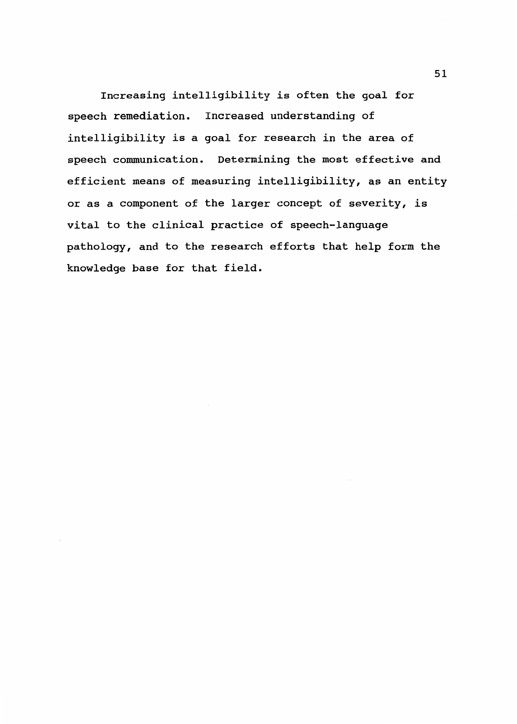Increasing intelligibility is often the goal for speech remediation. Increased understanding of intelligibility is a goal for research in the area of speech conununication. Determining the most effective and efficient means of measuring intelligibility, as an entity or as a component of the larger concept of severity, is vital to the clinical practice of speech-language pathology, and to the research efforts that help form the knowledge base for that field.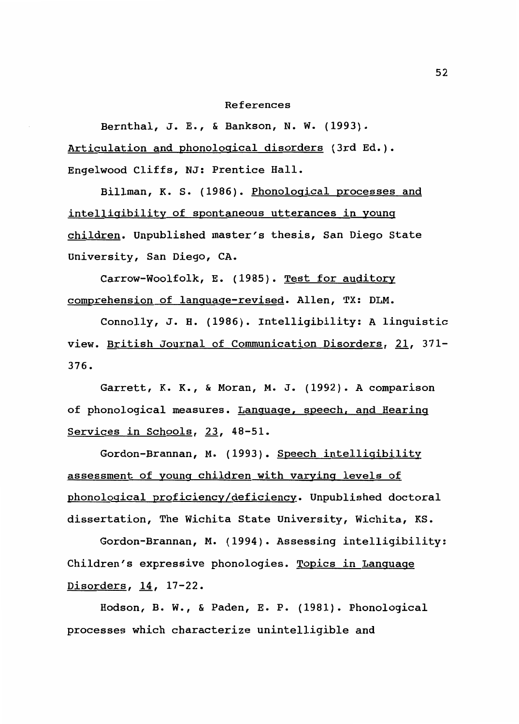#### References

Bernthal, J.E., & Bankson, N. w. (1993). Articulation and phonological disorders (3rd Ed.). Engelwood Cliffs, NJ: Prentice Hall.

Billman, K. S. (1986). Phonological processes and intelligibility of spontaneous utterances in young children. Unpublished master's thesis, San Diego State University, San Diego, CA.

Carrow-Woolfolk, E. (1985). Test for auditory comprehension of language-revised. Allen, TX: DLM.

Connolly, J. H. (1986). Intelligibility: A linguistic view. British Journal of Communication Disorders, 21, 371-376.

Garrett, K. K., & Moran, M. J. (1992). A comparison of phonological measures. Language, speech, and Hearing Services in Schools, 23, 48-51.

Gordon-Brannan, M. (1993). Speech intelligibility assessment of young children with varying levels of phonological proficiency/deficiency. Unpublished doctoral dissertation, The Wichita State University, Wichita, KS.

Gordon-Brannan, M. (1994). Assessing intelligibility: Children's expressive phonologies. Topics in Language Disorders, 14, 17-22.

Hodson, B. w., & Paden, E. P. (1981). Phonological processes which characterize unintelligible and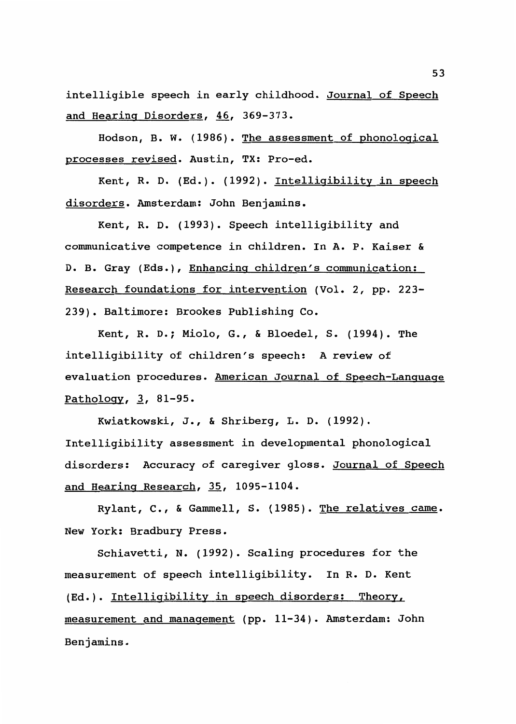intelligible speech in early childhood. Journal of Speech and Hearing Disorders, 46, 369-373.

Hodson, B. W. (1986). The assessment of phonological processes revised. Austin, TX: Pro-ed.

Kent, R. D. (Ed.). (1992). Intelligibility in speech disorders. Amsterdam: John Benjamins.

Kent, R. D. (1993). Speech intelligibility and communicative competence in children. In A. P. Kaiser & D. B. Gray (Eds.), Enhancing children's communication: Research foundations for intervention (Vol. 2, pp. 223- 239). Baltimore: Brookes Publishing Co.

Kent, R. D.; Miolo, G., & Bloedel, S. (1994). The intelligibility of children's speech: A review of evaluation procedures. American Journal of Speech-Language Pathology, 3, 81-95.

Kwiatkowski, J., & Shriberg, L. D. (1992). Intelligibility assessment in developmental phonological disorders: Accuracy of caregiver gloss. Journal of Speech and Hearing Research, 35, 1095-1104.

Rylant, c., & Gammell, S. (1985). The relatives came. New York: Bradbury Press.

Schiavetti, N. (1992). Scaling procedures for the measurement of speech intelligibility. In R. D. Kent (Ed.). Intelligibility in speech disorders: Theory, measurement and management (pp. 11-34). Amsterdam: John Benjamins.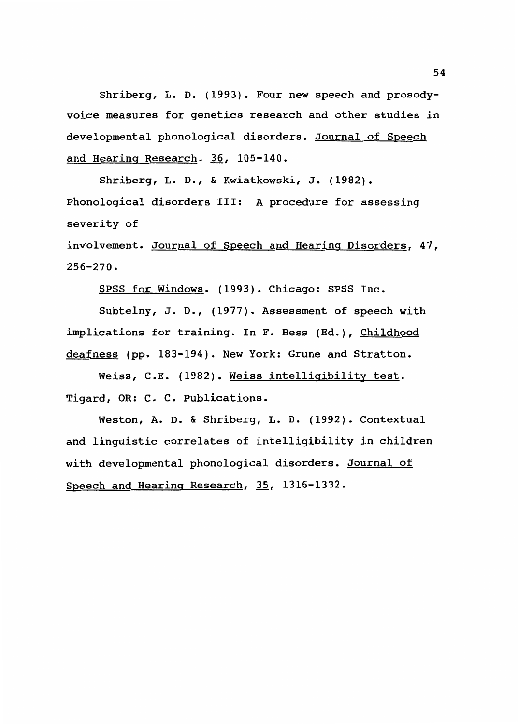Shriberg, L. D. (1993). Four new speech and prosodyvoice measures for genetics research and other studies in developmental phonological disorders. Journal of Speech and Hearing Research. 36, 105-140.

Shriberg, L. D., & Kwiatkowski, J. (1982). Phonological disorders III: A procedure for assessing severity of

involvement. Journal of Speech and Hearing Disorders, 47, 256-270.

SPSS for Windows. (1993). Chicago: SPSS Inc.

Subtelny, J. D., (1977). Assessment of speech with implications for training. In F. Bess (Ed.), Childhood deafness (pp. 183-194). New York: Grune and Stratton.

Weiss, C.E. (1982). Weiss intelligibility test. Tigard, OR: C. C. Publications.

Weston, A. D. & Shriberg, L. D. (1992). Contextual and linguistic correlates of intelligibility in children with developmental phonological disorders. Journal of Speech and Hearing Research, 35, 1316-1332.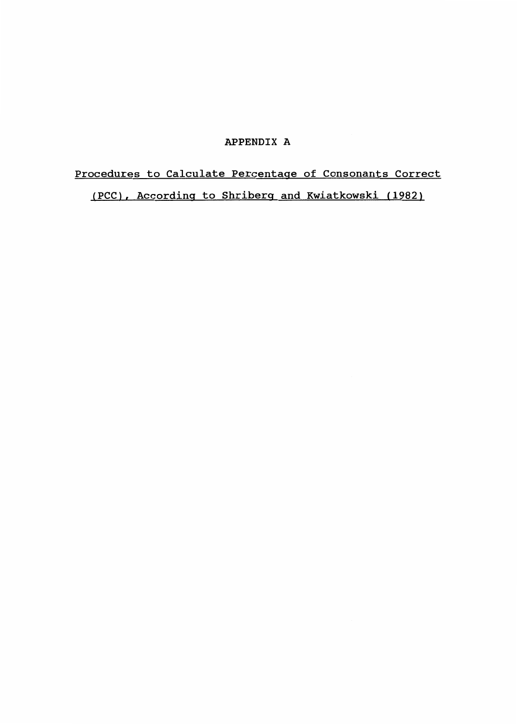# APPENDIX A

# Procedures to Calculate Percentage of Consonants Correct (PCC), According to Shriberg and Kwiatkowski (1982)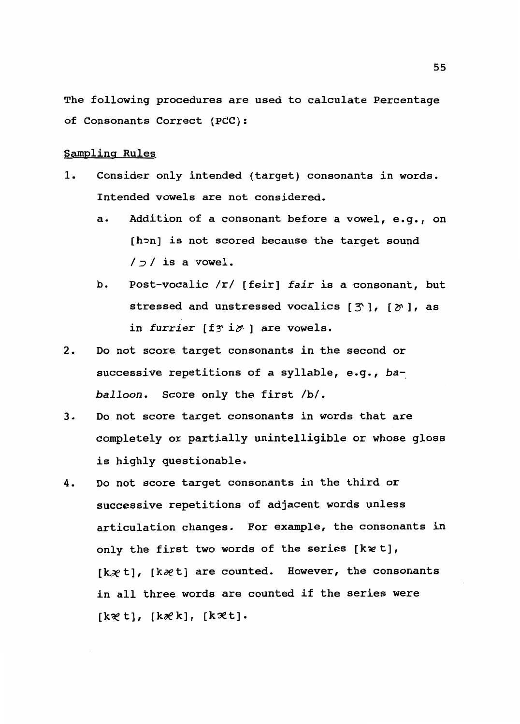The following procedures are used to calculate Percentage of Consonants Correct (PCC):

# Sampling Rules

- 1. Consider only intended (target) consonants in words. Intended vowels are not considered.
	- a. Addition of a consonant before a vowel, e.g., on [h~n] *is* not scored because the target sound  $/$  $/$ *is* a vowel.
	- b. Post-vocalic /r/ [feir] fair is a consonant, but stressed and unstressed vocalics  $[\tilde{\mathcal{F}}]$ ,  $[\tilde{\mathcal{F}}]$ , as in furrier [f*f* i*p*' ] are vowels.
- 2. Do not score target consonants in the second or successive repetitions of a syllable, e.g., *baballoon.* Score only the first /b/.
- 3. Do not score target consonants in words that are completely or partially unintelligible or whose gloss *is* highly questionable.
- 4. Do not score target consonants *in* the third or successive repetitions of adjacent words unless articulation changes. For example, the consonants in only the first two words of the series [k  $\nu$  t],  $[kx t]$ ,  $[kx t]$  are counted. However, the consonants *in* all three words are counted if the series were [k~t], [k~k], [k'3et].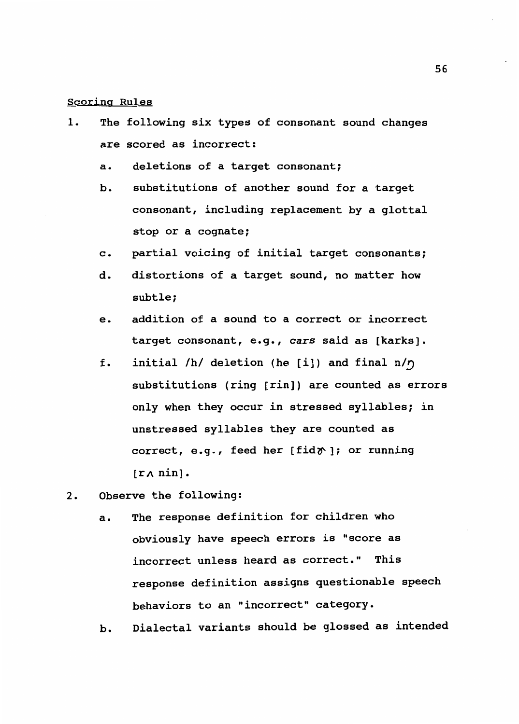# Scoring Rules

- 1. The following six types of consonant sound changes are scored as incorrect:
	- a. deletions of a target consonant;
	- b. substitutions of another sound for a target consonant, including replacement by a glottal stop or a cognate;
	- c. partial voicing of initial target consonants;
	- d. distortions of a target sound, no matter how subtle;
	- e. addition of a sound to a correct or incorrect target consonant, e.g., *cars* said as [karks].
	- f. initial  $/h/$  deletion (he [i]) and final  $n/\eta$ substitutions (ring (rin]) are counted as errors only when they occur in stressed syllables; *in*  unstressed syllables they are counted as correct, e.g., feed her [fid $\gamma$ ]; or running  $[r \wedge \text{nin}].$
- 2. Observe the following:
	- a. The response definition for children who obviously have speech errors *is* "score as incorrect unless heard as correct." This response definition assigns questionable speech behaviors to an "incorrect" category.

b. Dialectal variants should be glossed as intended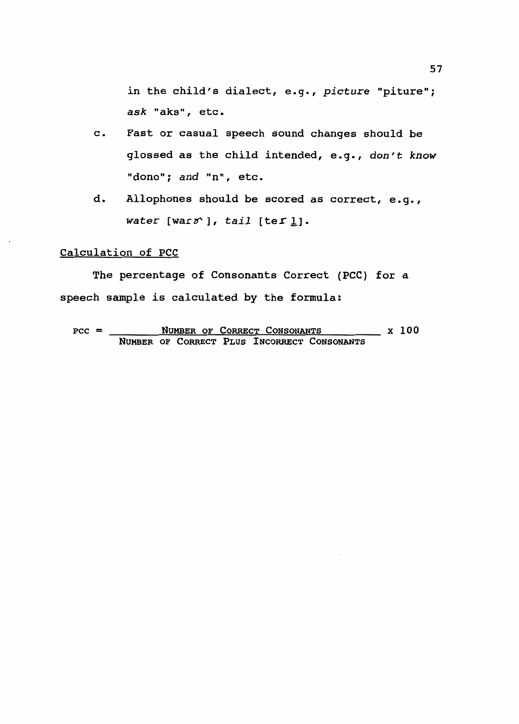in the child's dialect, e.g., *picture* "piture"; *ask* "aks", etc.

- c. Fast or casual speech sound changes should be glossed as the child intended, e.g., *don't know*  "dona"; *and* "n", etc.
- d. Allophones should be scored as correct, e.g., *water* [warsi, tail [ter <u>l</u>].

# Calculation of PCC

The percentage of Consonants Correct (PCC) for a speech sample *is* calculated by the formula:

 $PCC =$  NUMBER OF CORRECT CONSONANTS  $X$  100 NUMBER OF CORRECT PLUS INCORRECT CONSONANTS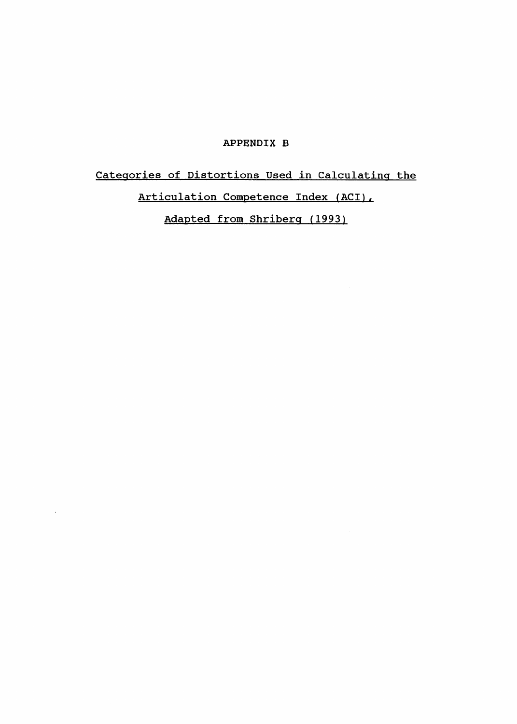# APPENDIX B

Categories of Distortions Used in Calculating the Articulation Competence Index (ACI), Adapted from Shriberg (1993)

 $\sim$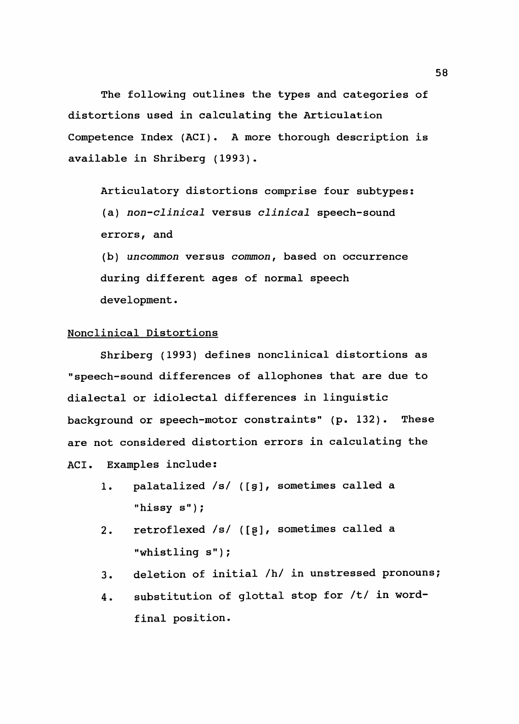The following outlines the types and categories of distortions used in calculating the Articulation Competence Index (ACI). A more thorough description is available in Shriberg (1993).

Articulatory distortions comprise four subtypes: (a) *non-clinical* versus *clinical* speech-sound errors, and

(b) *uncommon* versus *common,* based on occurrence during different ages of normal speech development.

# Nonclinical Distortions

Shriberg (1993) defines nonclinical distortions as "speech-sound differences of allophones that are due to dialectal or idiolectal differences in linguistic background or speech-motor constraints" (p. 132). These are not considered distortion errors in calculating the ACI. Examples include:

- 1. palatalized /s/ ([§], sometimes called a "hissy s");
- 2. retroflexed /s/ ([\$], sometimes called a "whistling s");
- 3. deletion of initial /h/ in unstressed pronouns;
- 4. substitution of glottal stop for /t/ in wordfinal position.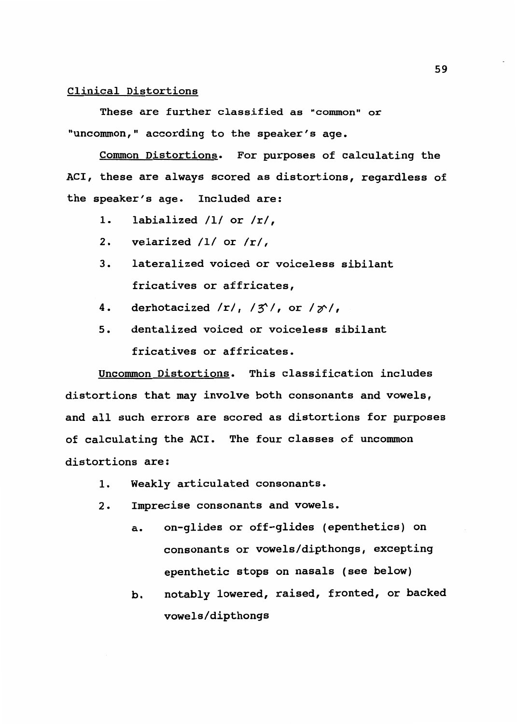#### Clinical Distortions

These are further classified as "common" or "uncommon," according to the speaker's age.

Common Distortions. For purposes of calculating the ACI, these are always scored as distortions, regardless of the speaker's age. Included are:

- 1. labialized /1/ or /r/,
- 2. velarized /1/ or *Ir/,*
- 3. lateralized voiced or voiceless sibilant fricatives or affricates,
- 4. derhotacized  $/r/$ ,  $/3$ <sup>'</sup>, or  $/2$ ',
- 5. dentalized voiced or voiceless sibilant fricatives or affricates.

Uncommon Distortions. This classification includes distortions that may involve both consonants and vowels, and all such errors are scored as distortions for purposes of calculating the AC!. The four classes of uncommon distortions are:

- 1. Weakly articulated consonants.
- 2. Imprecise consonants and vowels.
	- a. on-glides or off-glides (epenthetics) on consonants or vowels/dipthongs, excepting epenthetic stops on nasals (see below)
	- b. notably lowered, raised, fronted, or backed vowels/dipthongs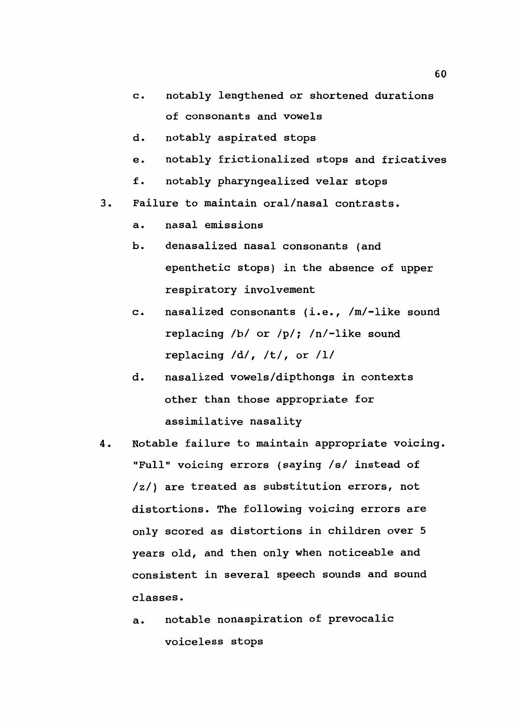- c. notably lengthened or shortened durations of consonants and vowels
- d. notably aspirated stops
- e. notably frictionalized stops and fricatives
- f. notably pharyngealized velar stops
- 3. Failure to maintain oral/nasal contrasts.
	- a. nasal emissions
	- b. denasalized nasal consonants (and epenthetic stops) in the absence of upper respiratory involvement
	- $c.$  nasalized consonants (i.e.,  $/m/-$ like sound replacing /b/ or /p/; /n/-like sound replacing  $/d/$ ,  $/t/$ , or  $/l/$
	- d. nasalized vowels/dipthongs in contexts other than those appropriate for assimilative nasality
- 4. Notable failure to maintain appropriate voicing. "Full" voicing errors (saying /s/ instead of /z/) are treated as substitution errors, not distortions. The following voicing errors are only scored as distortions in children over 5 years old, and then only when noticeable and consistent in several speech sounds and sound classes.
	- a. notable nonaspiration of prevocalic voiceless stops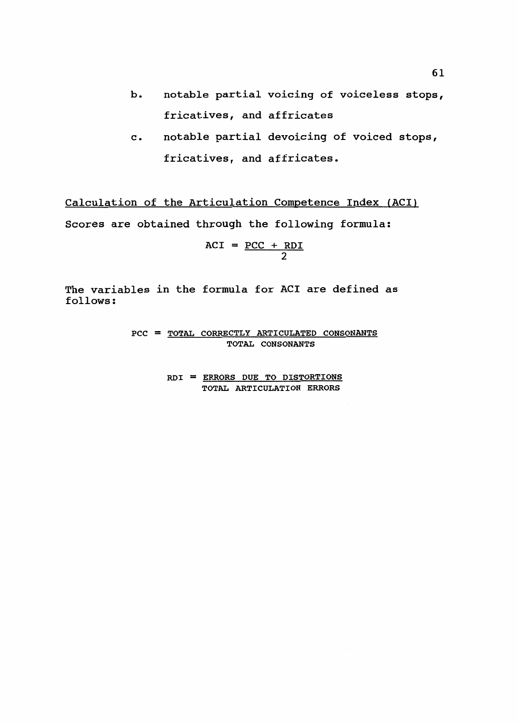- b. notable partial voicing of voiceless stops, fricatives, and affricates
- c. notable partial devoicing of voiced stops, fricatives, and affricates.

Calculation of the Articulation Competence Index (ACI) Scores are obtained through the following formula:

$$
ACT = \frac{PCC + RDI}{2}
$$

The variables in the formula for ACI are defined as follows:

> PCC = TOTAL CORRECTLY ARTICULATED CONSONANTS TOTAL CONSONANTS

> > ROI = ERRORS DUE TO DISTORTIONS TOTAL ARTICULATION ERRORS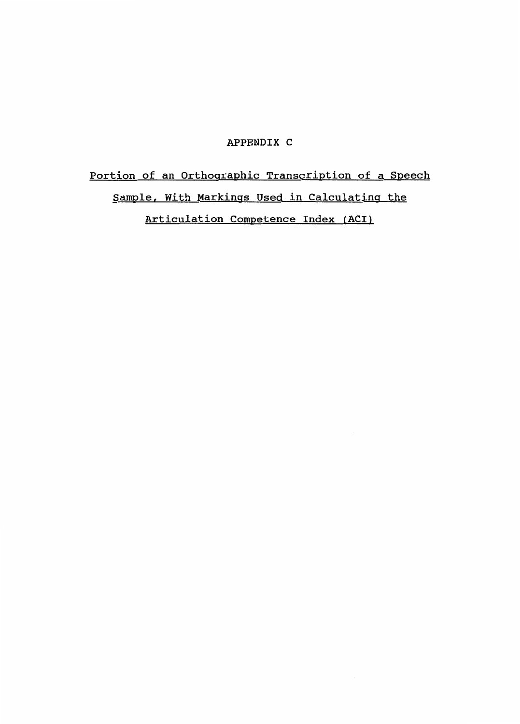#### APPENDIX C

# Portion of an Orthographic Transcription of a Speech Sample, With Markings Used in Calculating the Articulation Competence Index (ACI)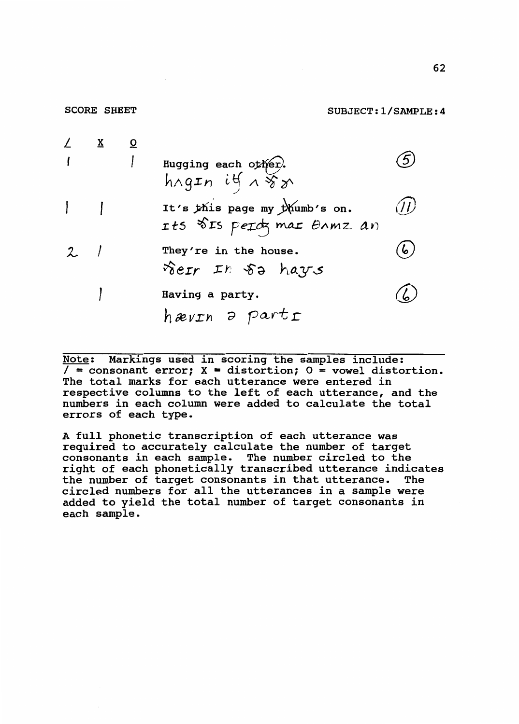| $\angle$ X |  |                                                                           |    |
|------------|--|---------------------------------------------------------------------------|----|
|            |  | Hugging each other.<br>$h \wedge g \pounds n$ it $\wedge \sqrt{x} \wedge$ |    |
|            |  | It's this page my thumb's on.                                             |    |
|            |  | Its SIS perdy mar Ormz an                                                 |    |
| $2$ /      |  | They're in the house.                                                     | 6. |
|            |  | rer In 52 hays                                                            |    |
|            |  | Having a party.                                                           |    |
|            |  | hævin a parti                                                             |    |

SCORE SHEET

Note: Markings used in scoring the samples include:  $/$  = consonant error;  $X =$  distortion;  $0 =$  vowel distortion. The total marks for each utterance were entered in respective columns to the left of each utterance, and the numbers in each column were added to calculate the total errors of each type.

A full phonetic transcription of each utterance was required to accurately calculate the number of target consonants in each sample. The number circled to the right of each phonetically transcribed utterance indicates the number of target consonants in that utterance. The circled numbers for all the utterances in a sample were added to yield the total number of target consonants in each sample.

SUBJECT:l/SAMPLE:4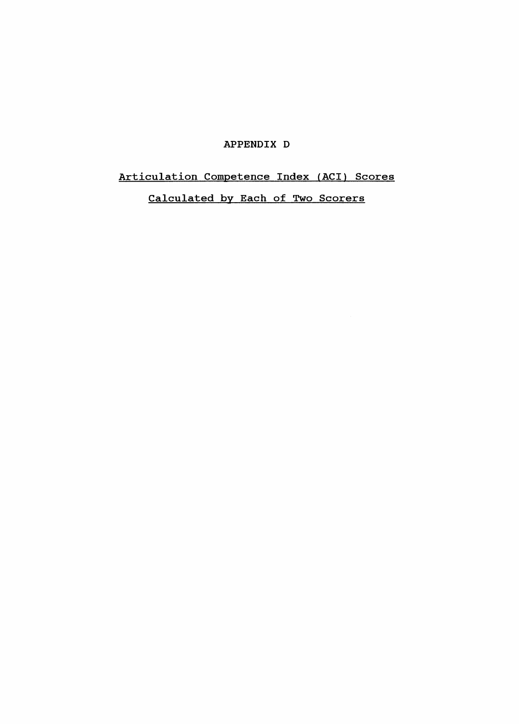### APPENDIX D

## Articulation Competence Index (ACI) Scores

Calculated by Each of Two Scorers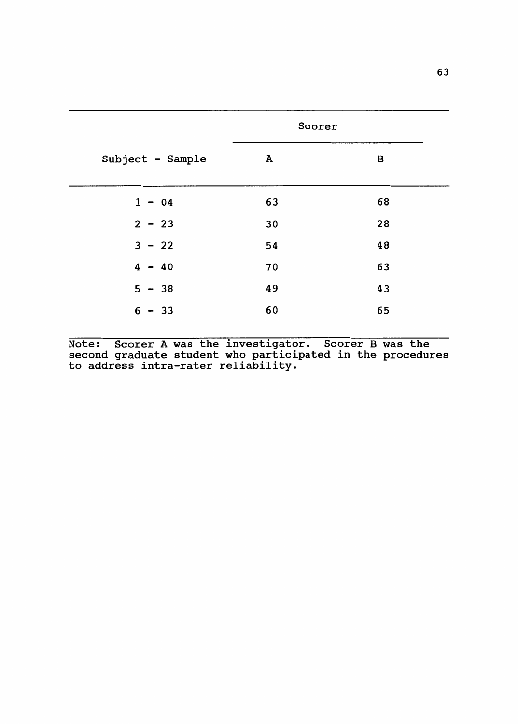|                  | Scorer       |    |  |
|------------------|--------------|----|--|
| Subject - Sample | $\mathbf{A}$ | В  |  |
| $1 - 04$         | 63           | 68 |  |
| $2 - 23$         | 30           | 28 |  |
| $3 - 22$         | 54           | 48 |  |
| $4 - 40$         | 70           | 63 |  |
| $5 - 38$         | 49           | 43 |  |
| $6 - 33$         | 60           | 65 |  |

Note: Scorer A was the investigator. Scorer B was the second graduate student who participated in the procedures to address intra-rater reliability.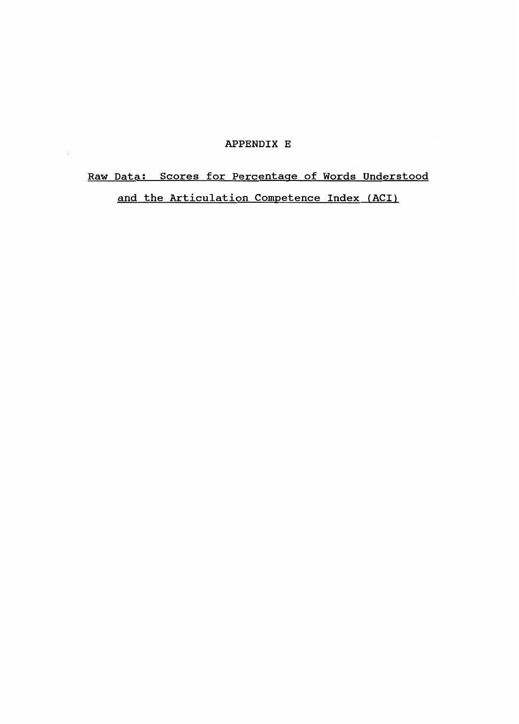#### APPENDIX E

 $\bar{\mathcal{A}}$ 

# Raw Data: Scores for Percentage of Words Understood and the Articulation Competence Index (ACI)